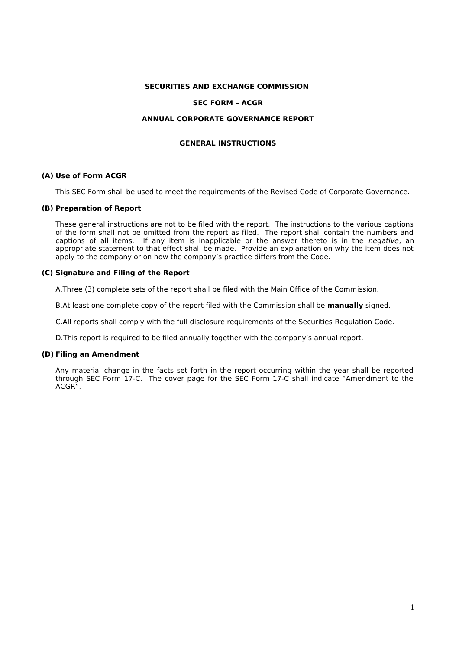#### **SECURITIES AND EXCHANGE COMMISSION**

#### **SEC FORM – ACGR**

#### **ANNUAL CORPORATE GOVERNANCE REPORT**

#### **GENERAL INSTRUCTIONS**

#### **(A) Use of Form ACGR**

This SEC Form shall be used to meet the requirements of the Revised Code of Corporate Governance.

#### **(B) Preparation of Report**

These general instructions are not to be filed with the report. The instructions to the various captions of the form shall not be omitted from the report as filed. The report shall contain the numbers and captions of all items. If any item is inapplicable or the answer thereto is in the *negative*, an appropriate statement to that effect shall be made. Provide an explanation on why the item does not apply to the company or on how the company's practice differs from the Code.

#### **(C) Signature and Filing of the Report**

A.Three (3) complete sets of the report shall be filed with the Main Office of the Commission.

B.At least one complete copy of the report filed with the Commission shall be **manually** signed.

C.All reports shall comply with the full disclosure requirements of the Securities Regulation Code.

D.This report is required to be filed annually together with the company's annual report.

#### **(D) Filing an Amendment**

Any material change in the facts set forth in the report occurring within the year shall be reported through SEC Form 17-C. The cover page for the SEC Form 17-C shall indicate "Amendment to the ACGR".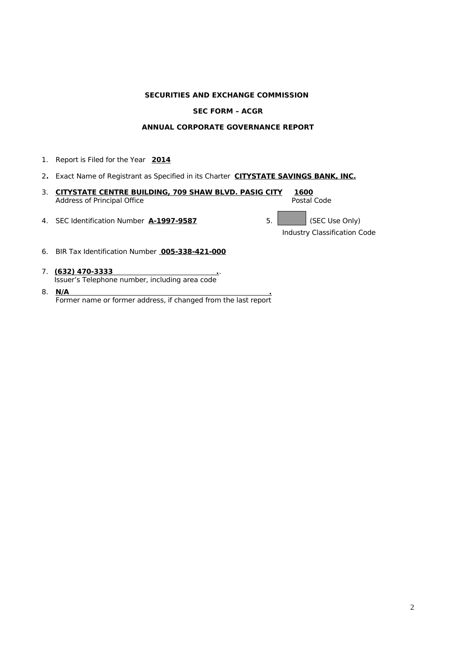## **SECURITIES AND EXCHANGE COMMISSION**

#### **SEC FORM – ACGR**

## **ANNUAL CORPORATE GOVERNANCE REPORT**

- 1. Report is Filed for the Year **2014**
- 2**.** Exact Name of Registrant as Specified in its Charter **CITYSTATE SAVINGS BANK, INC.**
- 3. **CITYSTATE CENTRE BUILDING, 709 SHAW BLVD. PASIG CITY 1600** Address of Principal Office
- 4. SEC Identification Number **A-1997-9587** 5. SEC Use Only)

Industry Classification Code

- 6. BIR Tax Identification Number **005-338-421-000**
- 7. **(632) 470-3333 .**. Issuer's Telephone number, including area code
- 8. **N/A .** Former name or former address, if changed from the last report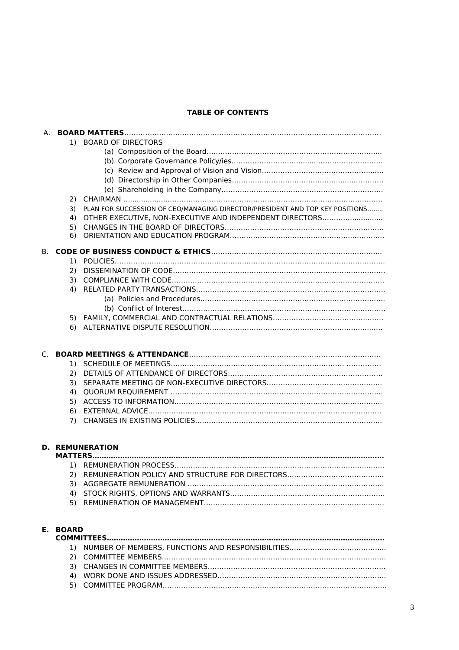## **TABLE OF CONTENTS**

|    |          | 1) BOARD OF DIRECTORS                                                        |
|----|----------|------------------------------------------------------------------------------|
|    |          |                                                                              |
|    |          |                                                                              |
|    |          |                                                                              |
|    |          |                                                                              |
|    | 2)       |                                                                              |
|    | 3)       | PLAN FOR SUCCESSION OF CEO/MANAGING DIRECTOR/PRESIDENT AND TOP KEY POSITIONS |
|    | 4)       | OTHER EXECUTIVE, NON-EXECUTIVE AND INDEPENDENT DIRECTORS                     |
|    | 5)       |                                                                              |
|    | 6)       |                                                                              |
| В. |          |                                                                              |
|    |          |                                                                              |
|    | 2)       |                                                                              |
|    | 3)       |                                                                              |
|    | 4)       |                                                                              |
|    |          |                                                                              |
|    |          |                                                                              |
|    |          |                                                                              |
|    |          |                                                                              |
|    |          |                                                                              |
| C. |          |                                                                              |
|    |          |                                                                              |
|    | 2)       |                                                                              |
|    | 3)       |                                                                              |
|    | 4)       |                                                                              |
|    | 5)       |                                                                              |
|    | 6)       |                                                                              |
|    |          |                                                                              |
|    |          |                                                                              |
|    |          | <b>D. REMUNERATION</b>                                                       |
|    |          | <b>MATTERS</b>                                                               |
|    |          |                                                                              |
|    |          |                                                                              |
|    |          |                                                                              |
|    |          |                                                                              |
|    |          |                                                                              |
|    |          |                                                                              |
|    | E. BOARD |                                                                              |
|    |          |                                                                              |
|    |          |                                                                              |
|    |          |                                                                              |
|    |          |                                                                              |
|    |          |                                                                              |
|    |          |                                                                              |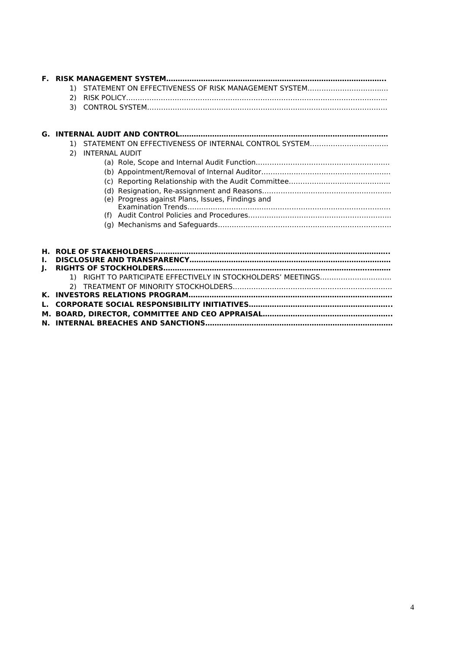|    | 2)                                               |
|----|--------------------------------------------------|
|    |                                                  |
|    |                                                  |
|    |                                                  |
|    |                                                  |
|    |                                                  |
|    |                                                  |
|    | <b>INTERNAL AUDIT</b><br>2)                      |
|    |                                                  |
|    |                                                  |
|    |                                                  |
|    |                                                  |
|    | (e) Progress against Plans, Issues, Findings and |
|    |                                                  |
|    |                                                  |
|    |                                                  |
|    |                                                  |
|    |                                                  |
|    |                                                  |
|    |                                                  |
| Ι. |                                                  |
| ı. |                                                  |
|    |                                                  |
|    |                                                  |
|    |                                                  |
|    |                                                  |
|    |                                                  |

**M. BOARD, DIRECTOR, COMMITTEE AND CEO APPRAISAL……………………………………………….. N. INTERNAL BREACHES AND SANCTIONS………………………………………………………………………**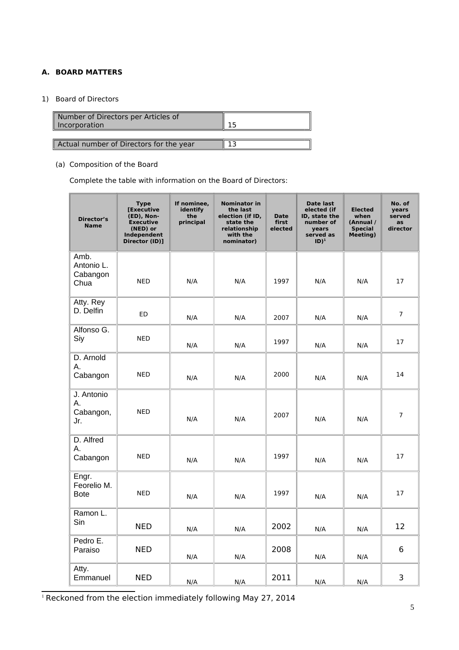# **A. BOARD MATTERS**

# 1) Board of Directors

| Number of Directors per Articles of<br>Incorporation |  |
|------------------------------------------------------|--|
|                                                      |  |
| Actual number of Directors for the year              |  |

# (a) Composition of the Board

Complete the table with information on the Board of Directors:

| <b>Director's</b><br><b>Name</b>       | <b>Type</b><br>[Executive<br>(ED), Non-<br><b>Executive</b><br>(NED) or<br>Independent<br>Director (ID)] | If nominee,<br>identify<br>the<br>principal | <b>Nominator in</b><br>the last<br>election (if ID,<br>state the<br>relationship<br>with the<br>nominator) | <b>Date</b><br>first<br>elected | Date last<br>elected (if<br>ID, state the<br>number of<br>years<br>served as<br>$ID)^1$ | <b>Elected</b><br>when<br>(Annual /<br><b>Special</b><br><b>Meeting)</b> | No. of<br>years<br>served<br>as<br>director |
|----------------------------------------|----------------------------------------------------------------------------------------------------------|---------------------------------------------|------------------------------------------------------------------------------------------------------------|---------------------------------|-----------------------------------------------------------------------------------------|--------------------------------------------------------------------------|---------------------------------------------|
| Amb.<br>Antonio L.<br>Cabangon<br>Chua | <b>NED</b>                                                                                               | N/A                                         | N/A                                                                                                        | 1997                            | N/A                                                                                     | N/A                                                                      | 17                                          |
| Atty. Rey<br>D. Delfin                 | <b>ED</b>                                                                                                | N/A                                         | N/A                                                                                                        | 2007                            | N/A                                                                                     | N/A                                                                      | $\overline{7}$                              |
| Alfonso G.<br>Siy                      | <b>NED</b>                                                                                               | N/A                                         | N/A                                                                                                        | 1997                            | N/A                                                                                     | N/A                                                                      | 17                                          |
| D. Arnold<br>А.<br>Cabangon            | <b>NED</b>                                                                                               | N/A                                         | N/A                                                                                                        | 2000                            | N/A                                                                                     | N/A                                                                      | 14                                          |
| J. Antonio<br>А.<br>Cabangon,<br>Jr.   | <b>NED</b>                                                                                               | N/A                                         | N/A                                                                                                        | 2007                            | N/A                                                                                     | N/A                                                                      | $\overline{7}$                              |
| D. Alfred<br>А.<br>Cabangon            | <b>NED</b>                                                                                               | N/A                                         | N/A                                                                                                        | 1997                            | N/A                                                                                     | N/A                                                                      | 17                                          |
| Engr.<br>Feorelio M.<br><b>Bote</b>    | <b>NED</b>                                                                                               | N/A                                         | N/A                                                                                                        | 1997                            | N/A                                                                                     | N/A                                                                      | 17                                          |
| Ramon L.<br>Sin                        | <b>NED</b>                                                                                               | N/A                                         | N/A                                                                                                        | 2002                            | N/A                                                                                     | N/A                                                                      | 12                                          |
| Pedro E.<br>Paraiso                    | <b>NED</b>                                                                                               | N/A                                         | N/A                                                                                                        | 2008                            | N/A                                                                                     | N/A                                                                      | 6                                           |
| Atty.<br>Emmanuel                      | <b>NED</b>                                                                                               | N/A                                         | N/A                                                                                                        | 2011                            | N/A                                                                                     | N/A                                                                      | 3                                           |

<span id="page-4-0"></span><sup>1</sup> Reckoned from the election immediately following May 27, 2014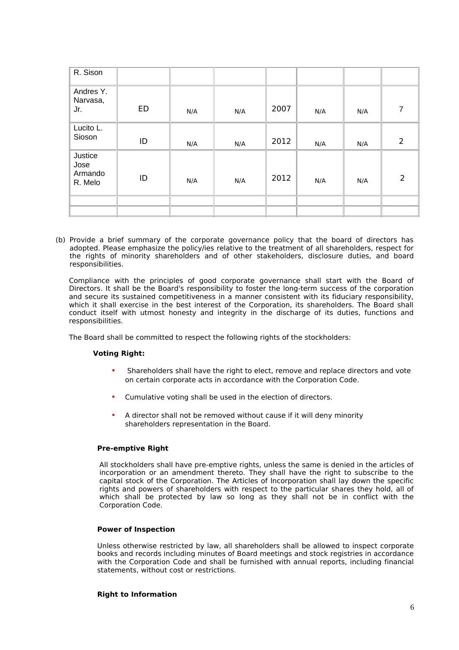| R. Sison                                     |           |     |     |      |     |     |   |
|----------------------------------------------|-----------|-----|-----|------|-----|-----|---|
| Andres Y.<br>Narvasa,<br>Jr.                 | <b>ED</b> | N/A | N/A | 2007 | N/A | N/A |   |
| Lucito L.<br>Sioson                          | ID        | N/A | N/A | 2012 | N/A | N/A | 2 |
| <b>Justice</b><br>Jose<br>Armando<br>R. Melo | ID        | N/A | N/A | 2012 | N/A | N/A | 2 |
|                                              |           |     |     |      |     |     |   |

(b) Provide a brief summary of the corporate governance policy that the board of directors has adopted. Please emphasize the policy/ies relative to the treatment of all shareholders, respect for the rights of minority shareholders and of other stakeholders, disclosure duties, and board responsibilities.

Compliance with the principles of good corporate governance shall start with the Board of Directors. It shall be the Board's responsibility to foster the long-term success of the corporation and secure its sustained competitiveness in a manner consistent with its fiduciary responsibility, which it shall exercise in the best interest of the Corporation, its shareholders. The Board shall conduct itself with utmost honesty and integrity in the discharge of its duties, functions and responsibilities.

The Board shall be committed to respect the following rights of the stockholders:

## **Voting Right:**

- Shareholders shall have the right to elect, remove and replace directors and vote on certain corporate acts in accordance with the Corporation Code.
- Cumulative voting shall be used in the election of directors.
- A director shall not be removed without cause if it will deny minority shareholders representation in the Board.

#### **Pre-emptive Right**

All stockholders shall have pre-emptive rights, unless the same is denied in the articles of incorporation or an amendment thereto. They shall have the right to subscribe to the capital stock of the Corporation. The Articles of Incorporation shall lay down the specific rights and powers of shareholders with respect to the particular shares they hold, all of which shall be protected by law so long as they shall not be in conflict with the Corporation Code.

#### **Power of Inspection**

Unless otherwise restricted by law, all shareholders shall be allowed to inspect corporate books and records including minutes of Board meetings and stock registries in accordance with the Corporation Code and shall be furnished with annual reports, including financial statements, without cost or restrictions.

#### **Right to Information**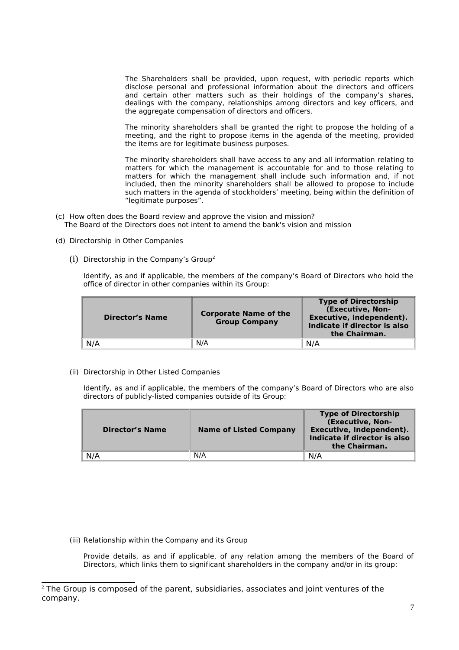The Shareholders shall be provided, upon request, with periodic reports which disclose personal and professional information about the directors and officers and certain other matters such as their holdings of the company's shares, dealings with the company, relationships among directors and key officers, and the aggregate compensation of directors and officers.

The minority shareholders shall be granted the right to propose the holding of a meeting, and the right to propose items in the agenda of the meeting, provided the items are for legitimate business purposes.

The minority shareholders shall have access to any and all information relating to matters for which the management is accountable for and to those relating to matters for which the management shall include such information and, if not included, then the minority shareholders shall be allowed to propose to include such matters in the agenda of stockholders' meeting, being within the definition of "legitimate purposes".

- (c) How often does the Board review and approve the vision and mission? The Board of the Directors does not intent to amend the bank's vision and mission
- (d) Directorship in Other Companies
	- (i) Directorship in the Company's Group[2](#page-6-0)

Identify, as and if applicable, the members of the company's Board of Directors who hold the office of director in other companies within its Group:

| <b>Director's Name</b> | <b>Corporate Name of the</b><br><b>Group Company</b> | <b>Type of Directorship</b><br>(Executive, Non-<br>Executive, Independent).<br>Indicate if director is also<br>the Chairman. |
|------------------------|------------------------------------------------------|------------------------------------------------------------------------------------------------------------------------------|
| N/A                    | N/A                                                  | N/A                                                                                                                          |

(ii) Directorship in Other Listed Companies

Identify, as and if applicable, the members of the company's Board of Directors who are also directors of publicly-listed companies outside of its Group:

| <b>Director's Name</b> | <b>Name of Listed Company</b> | <b>Type of Directorship</b><br>(Executive, Non-<br>Executive, Independent).<br>Indicate if director is also<br>the Chairman. |
|------------------------|-------------------------------|------------------------------------------------------------------------------------------------------------------------------|
| N/A                    | N/A                           | N/A                                                                                                                          |

(iii) Relationship within the Company and its Group

Provide details, as and if applicable, of any relation among the members of the Board of Directors, which links them to significant shareholders in the company and/or in its group:

<span id="page-6-0"></span> $2$  The Group is composed of the parent, subsidiaries, associates and joint ventures of the company.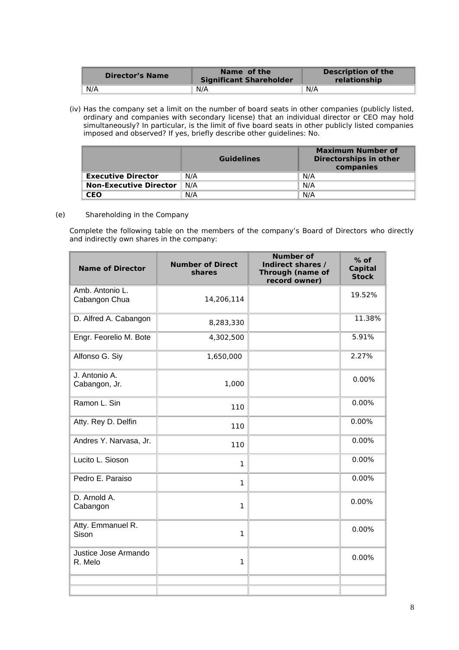| <b>Director's Name</b> | Name of the<br><b>Significant Shareholder</b> | <b>Description of the</b><br>relationship |
|------------------------|-----------------------------------------------|-------------------------------------------|
| N/A                    | N/A                                           | N/A                                       |

(iv) Has the company set a limit on the number of board seats in other companies (publicly listed, ordinary and companies with secondary license) that an individual director or CEO may hold simultaneously? In particular, is the limit of five board seats in other publicly listed companies imposed and observed? If yes, briefly describe other guidelines: No.

|                               | <b>Guidelines</b> | Maximum Number of<br>Directorships in other<br>companies |
|-------------------------------|-------------------|----------------------------------------------------------|
| <b>Executive Director</b>     | N/A               | N/A                                                      |
| <b>Non-Executive Director</b> | N/A               | N/A                                                      |
| CEO                           | N/A               | N/A                                                      |

## (e) Shareholding in the Company

Complete the following table on the members of the company's Board of Directors who directly and indirectly own shares in the company:

| <b>Name of Director</b>          | <b>Number of Direct</b><br><b>shares</b> | <b>Number of</b><br>Indirect shares /<br><b>Through (name of</b><br>record owner) | $%$ of<br><b>Capital</b><br><b>Stock</b> |
|----------------------------------|------------------------------------------|-----------------------------------------------------------------------------------|------------------------------------------|
| Amb. Antonio L.<br>Cabangon Chua | 14,206,114                               |                                                                                   | 19.52%                                   |
| D. Alfred A. Cabangon            | 8,283,330                                |                                                                                   | 11.38%                                   |
| Engr. Feorelio M. Bote           | 4,302,500                                |                                                                                   | 5.91%                                    |
| Alfonso G. Siy                   | 1,650,000                                |                                                                                   | 2.27%                                    |
| J. Antonio A.<br>Cabangon, Jr.   | 1,000                                    |                                                                                   | 0.00%                                    |
| Ramon L. Sin                     | 110                                      |                                                                                   | 0.00%                                    |
| Atty. Rey D. Delfin              | 110                                      |                                                                                   | 0.00%                                    |
| Andres Y. Narvasa, Jr.           | 110                                      |                                                                                   | 0.00%                                    |
| Lucito L. Sioson                 | $\mathbf{1}$                             |                                                                                   | 0.00%                                    |
| Pedro E. Paraiso                 | $\mathbf{1}$                             |                                                                                   | 0.00%                                    |
| D. Arnold A.<br>Cabangon         | $\mathbf{1}$                             |                                                                                   | 0.00%                                    |
| Atty. Emmanuel R.<br>Sison       | $\mathbf{1}$                             |                                                                                   | 0.00%                                    |
| Justice Jose Armando<br>R. Melo  | $\mathbf{1}$                             |                                                                                   | 0.00%                                    |
|                                  |                                          |                                                                                   |                                          |
|                                  |                                          |                                                                                   |                                          |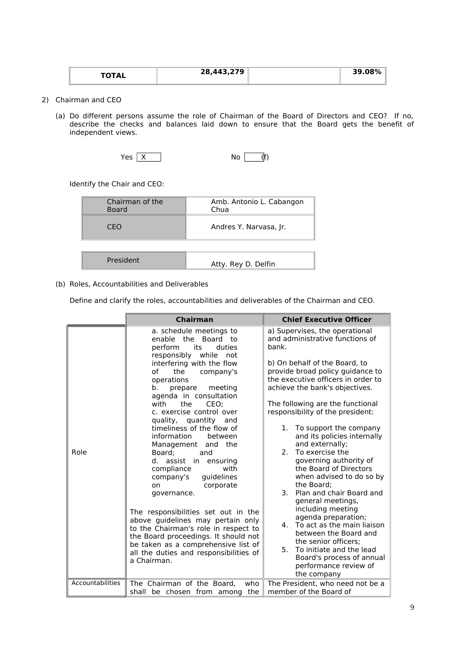| $\mathbf{A}$ | 28,443,279 | 39.08<br>7ο |
|--------------|------------|-------------|
|              |            |             |

- 2) Chairman and CEO
	- (a) Do different persons assume the role of Chairman of the Board of Directors and CEO? If no, describe the checks and balances laid down to ensure that the Board gets the benefit of independent views.

| Yes,<br>X<br>No | (f) |
|-----------------|-----|
|-----------------|-----|

Identify the Chair and CEO:

| Chairman of the<br><b>Board</b> | Amb. Antonio L. Cabangon<br>Chua |
|---------------------------------|----------------------------------|
| CFO                             | Andres Y. Narvasa, Jr.           |
|                                 |                                  |
| President                       | Atty. Rey D. Delfin              |

## (b) Roles, Accountabilities and Deliverables

Define and clarify the roles, accountabilities and deliverables of the Chairman and CEO.

|                  | <b>Chairman</b>                                                                                                                                                                                                                                                                                                                                                                                                                                                                                                                                                                                                                                                                                                                                                                     | <b>Chief Executive Officer</b>                                                                                                                                                                                                                                                                                                                                                                                                                                                                                                                                                                                                                                                                                                                                                                              |
|------------------|-------------------------------------------------------------------------------------------------------------------------------------------------------------------------------------------------------------------------------------------------------------------------------------------------------------------------------------------------------------------------------------------------------------------------------------------------------------------------------------------------------------------------------------------------------------------------------------------------------------------------------------------------------------------------------------------------------------------------------------------------------------------------------------|-------------------------------------------------------------------------------------------------------------------------------------------------------------------------------------------------------------------------------------------------------------------------------------------------------------------------------------------------------------------------------------------------------------------------------------------------------------------------------------------------------------------------------------------------------------------------------------------------------------------------------------------------------------------------------------------------------------------------------------------------------------------------------------------------------------|
| Role             | a. schedule meetings to<br>enable the Board to<br>its<br>perform<br>duties<br>responsibly while<br>not<br>interfering with the flow<br>company's<br>of<br>the<br>operations<br>meeting<br>b.<br>prepare<br>agenda in consultation<br>with<br>the<br>CEO:<br>c. exercise control over<br>quality, quantity and<br>timeliness of the flow of<br>information<br>between<br>Management and the<br>Board:<br>and<br>d. assist in ensuring<br>compliance<br>with<br>guidelines<br>company's<br>corporate<br>on<br>governance.<br>The responsibilities set out in the<br>above guidelines may pertain only<br>to the Chairman's role in respect to<br>the Board proceedings. It should not<br>be taken as a comprehensive list of<br>all the duties and responsibilities of<br>a Chairman. | a) Supervises, the operational<br>and administrative functions of<br>hank.<br>b) On behalf of the Board, to<br>provide broad policy guidance to<br>the executive officers in order to<br>achieve the bank's objectives.<br>The following are the functional<br>responsibility of the president:<br>To support the company<br>1.<br>and its policies internally<br>and externally;<br>2. To exercise the<br>governing authority of<br>the Board of Directors<br>when advised to do so by<br>the Board:<br>$\mathbf{3}$<br>Plan and chair Board and<br>general meetings,<br>including meeting<br>agenda preparation;<br>4. To act as the main liaison<br>between the Board and<br>the senior officers;<br>5.<br>To initiate and the lead<br>Board's process of annual<br>performance review of<br>the company |
| Accountabilities | The Chairman of the Board.<br>who<br>shall be chosen from among<br>the                                                                                                                                                                                                                                                                                                                                                                                                                                                                                                                                                                                                                                                                                                              | The President, who need not be a<br>member of the Board of                                                                                                                                                                                                                                                                                                                                                                                                                                                                                                                                                                                                                                                                                                                                                  |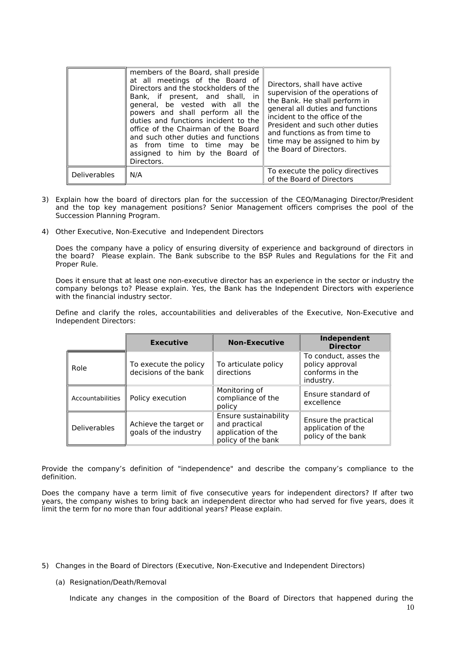|                     | members of the Board, shall preside<br>at all meetings of the Board of<br>Directors and the stockholders of the<br>Bank, if present, and shall, in<br>general, be vested with all the<br>powers and shall perform all the<br>duties and functions incident to the<br>office of the Chairman of the Board<br>and such other duties and functions<br>as from time to time may be<br>assigned to him by the Board of<br>Directors. | Directors, shall have active<br>supervision of the operations of<br>the Bank. He shall perform in<br>general all duties and functions<br>incident to the office of the<br>President and such other duties<br>and functions as from time to<br>time may be assigned to him by<br>the Board of Directors. |
|---------------------|---------------------------------------------------------------------------------------------------------------------------------------------------------------------------------------------------------------------------------------------------------------------------------------------------------------------------------------------------------------------------------------------------------------------------------|---------------------------------------------------------------------------------------------------------------------------------------------------------------------------------------------------------------------------------------------------------------------------------------------------------|
| <b>Deliverables</b> | N/A                                                                                                                                                                                                                                                                                                                                                                                                                             | To execute the policy directives<br>of the Board of Directors                                                                                                                                                                                                                                           |

- 3) Explain how the board of directors plan for the succession of the CEO/Managing Director/President and the top key management positions? Senior Management officers comprises the pool of the Succession Planning Program.
- 4) Other Executive, Non-Executive and Independent Directors

Does the company have a policy of ensuring diversity of experience and background of directors in the board? Please explain. The Bank subscribe to the BSP Rules and Regulations for the Fit and Proper Rule.

Does it ensure that at least one non-executive director has an experience in the sector or industry the company belongs to? Please explain. Yes, the Bank has the Independent Directors with experience with the financial industry sector.

Define and clarify the roles, accountabilities and deliverables of the Executive, Non-Executive and Independent Directors:

|                                                                                                                                                                         | <b>Executive</b> | <b>Non-Executive</b>                                                               | Independent<br><b>Director</b>                                           |
|-------------------------------------------------------------------------------------------------------------------------------------------------------------------------|------------------|------------------------------------------------------------------------------------|--------------------------------------------------------------------------|
| To execute the policy<br>Role<br>decisions of the bank<br>Accountabilities<br>Policy execution<br>Achieve the target or<br><b>Deliverables</b><br>goals of the industry |                  | To articulate policy<br>directions                                                 | To conduct, asses the<br>policy approval<br>conforms in the<br>industry. |
|                                                                                                                                                                         |                  | Monitoring of<br>compliance of the<br>policy                                       | Ensure standard of<br>excellence                                         |
|                                                                                                                                                                         |                  | Ensure sustainability<br>and practical<br>application of the<br>policy of the bank | Ensure the practical<br>application of the<br>policy of the bank         |

Provide the company's definition of "independence" and describe the company's compliance to the definition.

Does the company have a term limit of five consecutive years for independent directors? If after two years, the company wishes to bring back an independent director who had served for five years, does it limit the term for no more than four additional years? Please explain.

- 5) Changes in the Board of Directors (Executive, Non-Executive and Independent Directors)
	- (a) Resignation/Death/Removal

Indicate any changes in the composition of the Board of Directors that happened during the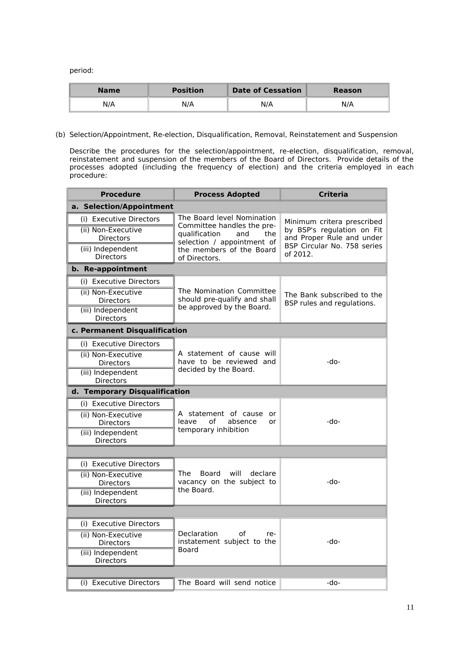period:

| <b>Name</b> | <b>Position</b> | <b>Date of Cessation</b> | Reason |
|-------------|-----------------|--------------------------|--------|
| N/A         | N/A             | N/A                      | N/A    |

(b) Selection/Appointment, Re-election, Disqualification, Removal, Reinstatement and Suspension

Describe the procedures for the selection/appointment, re-election, disqualification, removal, reinstatement and suspension of the members of the Board of Directors. Provide details of the processes adopted (including the frequency of election) and the criteria employed in each procedure:

| <b>Procedure</b>                                                                                           | <b>Process Adopted</b>                                                                                                                                             | <b>Criteria</b>                                                                                                                  |  |  |  |
|------------------------------------------------------------------------------------------------------------|--------------------------------------------------------------------------------------------------------------------------------------------------------------------|----------------------------------------------------------------------------------------------------------------------------------|--|--|--|
| a. Selection/Appointment                                                                                   |                                                                                                                                                                    |                                                                                                                                  |  |  |  |
| (i) Executive Directors<br>(ii) Non-Executive<br>Directors<br>(iii) Independent<br><b>Directors</b>        | The Board level Nomination<br>Committee handles the pre-<br>qualification<br>and<br>the<br>selection / appointment of<br>the members of the Board<br>of Directors. | Minimum critera prescribed<br>by BSP's regulation on Fit<br>and Proper Rule and under<br>BSP Circular No. 758 series<br>of 2012. |  |  |  |
| b. Re-appointment                                                                                          |                                                                                                                                                                    |                                                                                                                                  |  |  |  |
| (i) Executive Directors<br>(ii) Non-Executive<br>Directors<br>(iii) Independent<br><b>Directors</b>        | The Nomination Committee<br>should pre-qualify and shall<br>be approved by the Board.                                                                              | The Bank subscribed to the<br>BSP rules and regulations.                                                                         |  |  |  |
| c. Permanent Disqualification                                                                              |                                                                                                                                                                    |                                                                                                                                  |  |  |  |
| (i) Executive Directors<br>(ii) Non-Executive<br><b>Directors</b><br>(iii) Independent<br><b>Directors</b> | A statement of cause will<br>have to be reviewed and<br>decided by the Board.                                                                                      | -do-                                                                                                                             |  |  |  |
| d. Temporary Disqualification                                                                              |                                                                                                                                                                    |                                                                                                                                  |  |  |  |
| (i) Executive Directors<br>(ii) Non-Executive<br>Directors<br>(iii) Independent<br><b>Directors</b>        | A statement of cause or<br>leave<br>of<br>absence<br>or<br>temporary inhibition                                                                                    | -do-                                                                                                                             |  |  |  |
|                                                                                                            |                                                                                                                                                                    |                                                                                                                                  |  |  |  |
| (i) Executive Directors<br>(ii) Non-Executive<br>Directors<br>(iii) Independent<br><b>Directors</b>        | Board<br>will<br>The<br>declare<br>vacancy on the subject to<br>the Board.                                                                                         | -do-                                                                                                                             |  |  |  |
|                                                                                                            |                                                                                                                                                                    |                                                                                                                                  |  |  |  |
| (i) Executive Directors<br>(ii) Non-Executive<br>Directors<br>(iii) Independent<br><b>Directors</b>        | Declaration<br>of<br>re-<br>instatement subject to the<br>Board                                                                                                    | -do-                                                                                                                             |  |  |  |
| (i) Executive Directors                                                                                    | The Board will send notice                                                                                                                                         | -do-                                                                                                                             |  |  |  |
|                                                                                                            |                                                                                                                                                                    |                                                                                                                                  |  |  |  |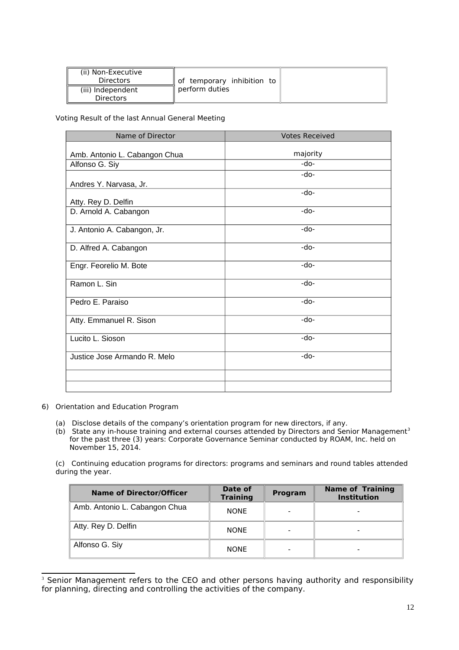| (ii) Non-Executive<br><b>Directors</b> | of temporary inhibition to |  |
|----------------------------------------|----------------------------|--|
| (iii) Independent<br><b>Directors</b>  | ll perform duties          |  |

## Voting Result of the last Annual General Meeting

| Name of Director              | <b>Votes Received</b> |
|-------------------------------|-----------------------|
|                               |                       |
| Amb. Antonio L. Cabangon Chua | majority              |
| Alfonso G. Siy                | -do-                  |
|                               | $-do-$                |
| Andres Y. Narvasa, Jr.        |                       |
| Atty. Rey D. Delfin           | $-do-$                |
| D. Arnold A. Cabangon         | -do-                  |
| J. Antonio A. Cabangon, Jr.   | $-do-$                |
| D. Alfred A. Cabangon         | -do-                  |
| Engr. Feorelio M. Bote        | -do-                  |
| Ramon L. Sin                  | $-do-$                |
| Pedro E. Paraiso              | $-do-$                |
| Atty. Emmanuel R. Sison       | $-do-$                |
| Lucito L. Sioson              | $-do-$                |
| Justice Jose Armando R. Melo  | -do-                  |
|                               |                       |
|                               |                       |

- 6) Orientation and Education Program
	- (a) Disclose details of the company's orientation program for new directors, if any.
	- (b) State any in-house training and external courses attended by Directors and Senior Management<sup>[3](#page-11-0)</sup> for the past three (3) years: Corporate Governance Seminar conducted by ROAM, Inc. held on November 15, 2014.

(c) Continuing education programs for directors: programs and seminars and round tables attended during the year.

| <b>Name of Director/Officer</b> | Date of<br><b>Training</b> | <b>Program</b> | <b>Name of Training</b><br><b>Institution</b> |
|---------------------------------|----------------------------|----------------|-----------------------------------------------|
| Amb. Antonio L. Cabangon Chua   | <b>NONE</b>                |                |                                               |
| Atty. Rey D. Delfin             | <b>NONE</b>                |                |                                               |
| Alfonso G. Siy                  | <b>NONE</b>                |                |                                               |

<span id="page-11-0"></span><sup>&</sup>lt;sup>3</sup> Senior Management refers to the CEO and other persons having authority and responsibility for planning, directing and controlling the activities of the company.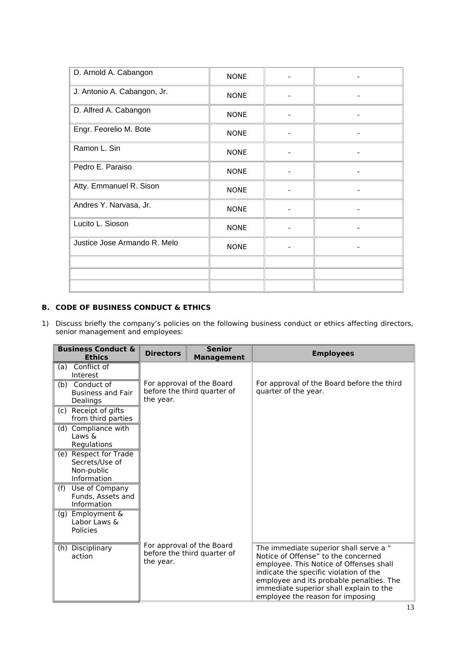| D. Arnold A. Cabangon        | <b>NONE</b> |   |
|------------------------------|-------------|---|
| J. Antonio A. Cabangon, Jr.  | <b>NONE</b> |   |
| D. Alfred A. Cabangon        | <b>NONE</b> |   |
| Engr. Feorelio M. Bote       | <b>NONE</b> | ۰ |
| Ramon L. Sin                 | <b>NONE</b> |   |
| Pedro E. Paraiso             | <b>NONE</b> |   |
| Atty. Emmanuel R. Sison      | <b>NONE</b> |   |
| Andres Y. Narvasa, Jr.       | <b>NONE</b> |   |
| Lucito L. Sioson             | <b>NONE</b> |   |
| Justice Jose Armando R. Melo | <b>NONE</b> |   |
|                              |             |   |
|                              |             |   |
|                              |             |   |

# **B. CODE OF BUSINESS CONDUCT & ETHICS**

1) Discuss briefly the company's policies on the following business conduct or ethics affecting directors, senior management and employees:

|     | <b>Business Conduct &amp;</b><br><b>Ethics</b>                       | <b>Directors</b> | <b>Senior</b><br><b>Management</b>                       | <b>Employees</b>                                                                                                                                                                                                                                                                              |
|-----|----------------------------------------------------------------------|------------------|----------------------------------------------------------|-----------------------------------------------------------------------------------------------------------------------------------------------------------------------------------------------------------------------------------------------------------------------------------------------|
| (a) | Conflict of<br>Interest                                              |                  |                                                          |                                                                                                                                                                                                                                                                                               |
|     | (b) Conduct of<br><b>Business and Fair</b><br>Dealings               | the year.        | For approval of the Board<br>before the third quarter of | For approval of the Board before the third<br>quarter of the year.                                                                                                                                                                                                                            |
|     | (c) Receipt of gifts<br>from third parties                           |                  |                                                          |                                                                                                                                                                                                                                                                                               |
|     | (d) Compliance with<br>Laws &<br>Regulations                         |                  |                                                          |                                                                                                                                                                                                                                                                                               |
|     | (e) Respect for Trade<br>Secrets/Use of<br>Non-public<br>Information |                  |                                                          |                                                                                                                                                                                                                                                                                               |
| (f) | Use of Company<br>Funds, Assets and<br>Information                   |                  |                                                          |                                                                                                                                                                                                                                                                                               |
| (g) | Employment &<br>Labor Laws &<br>Policies                             |                  |                                                          |                                                                                                                                                                                                                                                                                               |
|     | (h) Disciplinary<br>action                                           | the year.        | For approval of the Board<br>before the third quarter of | The immediate superior shall serve a "<br>Notice of Offense" to the concerned<br>employee. This Notice of Offenses shall<br>indicate the specific violation of the<br>employee and its probable penalties. The<br>immediate superior shall explain to the<br>employee the reason for imposing |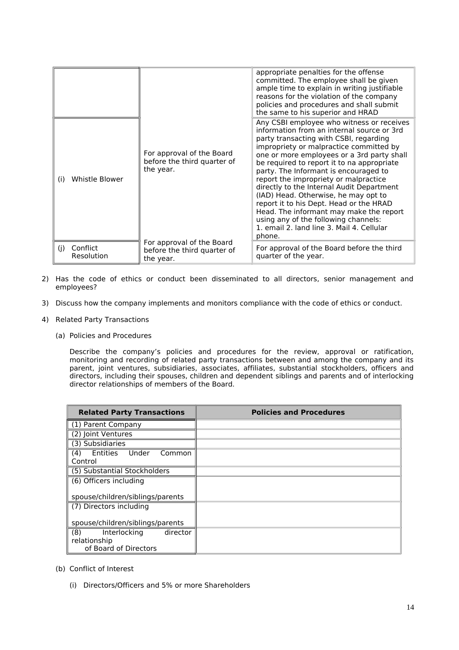|                               |                                                                       | appropriate penalties for the offense<br>committed. The employee shall be given<br>ample time to explain in writing justifiable<br>reasons for the violation of the company<br>policies and procedures and shall submit<br>the same to his superior and HRAD                                                                                                                                                                                                                                                                                                                                                                         |
|-------------------------------|-----------------------------------------------------------------------|--------------------------------------------------------------------------------------------------------------------------------------------------------------------------------------------------------------------------------------------------------------------------------------------------------------------------------------------------------------------------------------------------------------------------------------------------------------------------------------------------------------------------------------------------------------------------------------------------------------------------------------|
| Whistle Blower<br>(i)         | For approval of the Board<br>before the third quarter of<br>the year. | Any CSBI employee who witness or receives<br>information from an internal source or 3rd<br>party transacting with CSBI, regarding<br>impropriety or malpractice committed by<br>one or more employees or a 3rd party shall<br>be required to report it to na appropriate<br>party. The Informant is encouraged to<br>report the impropriety or malpractice<br>directly to the Internal Audit Department<br>(IAD) Head. Otherwise, he may opt to<br>report it to his Dept. Head or the HRAD<br>Head. The informant may make the report<br>using any of the following channels:<br>1. email 2. land line 3. Mail 4. Cellular<br>phone. |
| Conflict<br>(i)<br>Resolution | For approval of the Board<br>before the third quarter of<br>the year. | For approval of the Board before the third<br>quarter of the year.                                                                                                                                                                                                                                                                                                                                                                                                                                                                                                                                                                   |

- 2) Has the code of ethics or conduct been disseminated to all directors, senior management and employees?
- 3) Discuss how the company implements and monitors compliance with the code of ethics or conduct.
- 4) Related Party Transactions
	- (a) Policies and Procedures

Describe the company's policies and procedures for the review, approval or ratification, monitoring and recording of related party transactions between and among the company and its parent, joint ventures, subsidiaries, associates, affiliates, substantial stockholders, officers and directors, including their spouses, children and dependent siblings and parents and of interlocking director relationships of members of the Board.

| <b>Related Party Transactions</b>                                        | <b>Policies and Procedures</b> |
|--------------------------------------------------------------------------|--------------------------------|
| (1) Parent Company                                                       |                                |
| (2) Joint Ventures                                                       |                                |
| (3) Subsidiaries                                                         |                                |
| Under<br>Entities<br>(4)<br>Common<br>Control                            |                                |
| (5) Substantial Stockholders                                             |                                |
| (6) Officers including                                                   |                                |
| spouse/children/siblings/parents                                         |                                |
| (7) Directors including                                                  |                                |
| spouse/children/siblings/parents                                         |                                |
| (8)<br>director<br>Interlocking<br>relationship<br>of Board of Directors |                                |

- (b) Conflict of Interest
	- (i) Directors/Officers and 5% or more Shareholders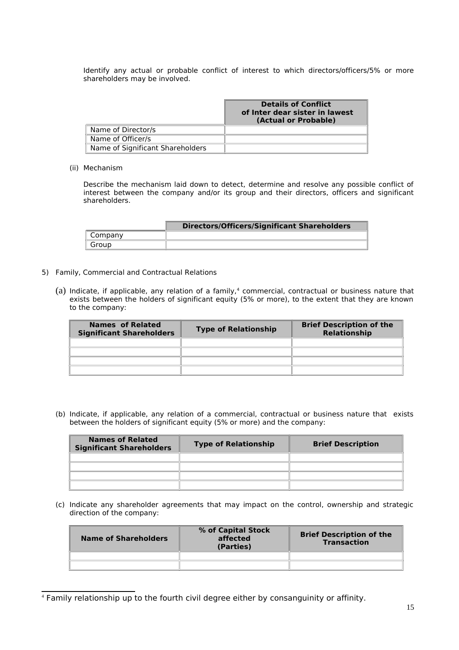Identify any actual or probable conflict of interest to which directors/officers/5% or more shareholders may be involved.

|                                  | <b>Details of Conflict</b><br>of Inter dear sister in lawest<br>(Actual or Probable) |
|----------------------------------|--------------------------------------------------------------------------------------|
| Name of Director/s               |                                                                                      |
| Name of Officer/s                |                                                                                      |
| Name of Significant Shareholders |                                                                                      |

#### (ii) Mechanism

Describe the mechanism laid down to detect, determine and resolve any possible conflict of interest between the company and/or its group and their directors, officers and significant shareholders.

|         | <b>Directors/Officers/Significant Shareholders</b> |
|---------|----------------------------------------------------|
| Company |                                                    |
| Group   |                                                    |

- 5) Family, Commercial and Contractual Relations
	- (a) Indicate, if applicable, any relation of a family,<sup>[4](#page-14-0)</sup> commercial, contractual or business nature that exists between the holders of significant equity (5% or more), to the extent that they are known to the company:

| <b>Names of Related</b><br><b>Significant Shareholders</b> | <b>Type of Relationship</b> | <b>Brief Description of the</b><br>Relationship |
|------------------------------------------------------------|-----------------------------|-------------------------------------------------|
|                                                            |                             |                                                 |
|                                                            |                             |                                                 |
|                                                            |                             |                                                 |
|                                                            |                             |                                                 |

(b) Indicate, if applicable, any relation of a commercial, contractual or business nature that exists between the holders of significant equity (5% or more) and the company:

| <b>Names of Related</b><br><b>Significant Shareholders</b> | <b>Type of Relationship</b> | <b>Brief Description</b> |
|------------------------------------------------------------|-----------------------------|--------------------------|
|                                                            |                             |                          |
|                                                            |                             |                          |
|                                                            |                             |                          |
|                                                            |                             |                          |

(c) Indicate any shareholder agreements that may impact on the control, ownership and strategic direction of the company:

| Name of Shareholders | % of Capital Stock<br>affected<br>(Parties) | <b>Brief Description of the</b><br><b>Transaction</b> |
|----------------------|---------------------------------------------|-------------------------------------------------------|
|                      |                                             |                                                       |
|                      |                                             |                                                       |
|                      |                                             |                                                       |

<span id="page-14-0"></span><sup>4</sup> Family relationship up to the fourth civil degree either by consanguinity or affinity.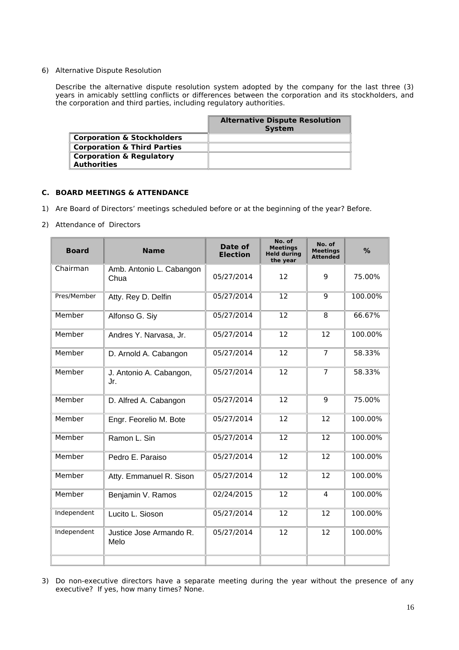#### 6) Alternative Dispute Resolution

Describe the alternative dispute resolution system adopted by the company for the last three (3) years in amicably settling conflicts or differences between the corporation and its stockholders, and the corporation and third parties, including regulatory authorities.

|                                                           | <b>Alternative Dispute Resolution</b><br><b>System</b> |
|-----------------------------------------------------------|--------------------------------------------------------|
| <b>Corporation &amp; Stockholders</b>                     |                                                        |
| <b>Corporation &amp; Third Parties</b>                    |                                                        |
| <b>Corporation &amp; Regulatory</b><br><b>Authorities</b> |                                                        |

## **C. BOARD MEETINGS & ATTENDANCE**

- 1) Are Board of Directors' meetings scheduled before or at the beginning of the year? Before.
- 2) Attendance of Directors

| <b>Board</b> | <b>Name</b>                      | Date of<br><b>Election</b> | No. of<br>Meetings<br><b>Held during</b><br>the year | No. of<br><b>Meetings</b><br><b>Attended</b> | %       |
|--------------|----------------------------------|----------------------------|------------------------------------------------------|----------------------------------------------|---------|
| Chairman     | Amb. Antonio L. Cabangon<br>Chua | 05/27/2014                 | 12                                                   | 9                                            | 75.00%  |
| Pres/Member  | Atty. Rey D. Delfin              | 05/27/2014                 | 12                                                   | 9                                            | 100.00% |
| Member       | Alfonso G. Siy                   | 05/27/2014                 | $\overline{12}$                                      | 8                                            | 66.67%  |
| Member       | Andres Y. Narvasa, Jr.           | 05/27/2014                 | 12                                                   | 12                                           | 100.00% |
| Member       | D. Arnold A. Cabangon            | 05/27/2014                 | 12                                                   | $\overline{7}$                               | 58.33%  |
| Member       | J. Antonio A. Cabangon,<br>Jr.   | 05/27/2014                 | 12                                                   | $\overline{7}$                               | 58.33%  |
| Member       | D. Alfred A. Cabangon            | 05/27/2014                 | 12                                                   | 9                                            | 75.00%  |
| Member       | Engr. Feorelio M. Bote           | 05/27/2014                 | 12                                                   | 12                                           | 100.00% |
| Member       | Ramon L. Sin                     | 05/27/2014                 | 12                                                   | 12                                           | 100.00% |
| Member       | Pedro E. Paraiso                 | 05/27/2014                 | 12                                                   | 12                                           | 100.00% |
| Member       | Atty. Emmanuel R. Sison          | 05/27/2014                 | 12                                                   | 12                                           | 100.00% |
| Member       | Benjamin V. Ramos                | 02/24/2015                 | 12                                                   | $\overline{4}$                               | 100.00% |
| Independent  | Lucito L. Sioson                 | 05/27/2014                 | 12                                                   | 12                                           | 100.00% |
| Independent  | Justice Jose Armando R.<br>Melo  | 05/27/2014                 | 12                                                   | 12                                           | 100.00% |
|              |                                  |                            |                                                      |                                              |         |

3) Do non-executive directors have a separate meeting during the year without the presence of any executive? If yes, how many times? None.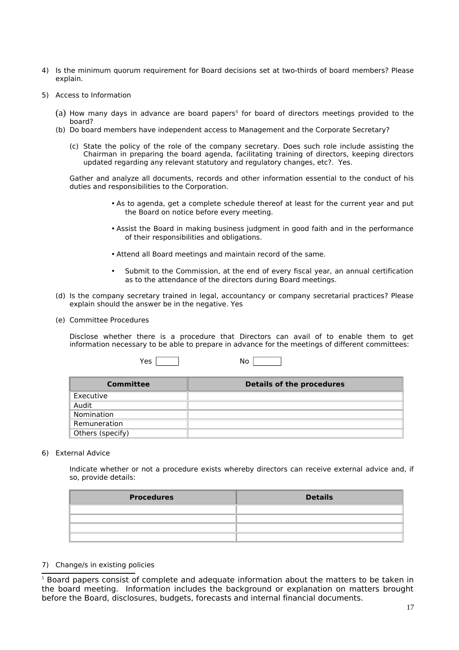- 4) Is the minimum quorum requirement for Board decisions set at two-thirds of board members? Please explain.
- 5) Access to Information
	- (a) How many days in advance are board papers<sup>[5](#page-16-0)</sup> for board of directors meetings provided to the board?
	- (b) Do board members have independent access to Management and the Corporate Secretary?
		- (c) State the policy of the role of the company secretary. Does such role include assisting the Chairman in preparing the board agenda, facilitating training of directors, keeping directors updated regarding any relevant statutory and regulatory changes, etc?. Yes.

Gather and analyze all documents, records and other information essential to the conduct of his duties and responsibilities to the Corporation.

- As to agenda, get a complete schedule thereof at least for the current year and put the Board on notice before every meeting.
- Assist the Board in making business judgment in good faith and in the performance of their responsibilities and obligations.
- Attend all Board meetings and maintain record of the same.
- Submit to the Commission, at the end of every fiscal year, an annual certification as to the attendance of the directors during Board meetings.
- (d) Is the company secretary trained in legal, accountancy or company secretarial practices? Please explain should the answer be in the negative. Yes
- (e) Committee Procedures

Disclose whether there is a procedure that Directors can avail of to enable them to get information necessary to be able to prepare in advance for the meetings of different committees:

| Yes<br>No |  |
|-----------|--|
|-----------|--|

| <b>Committee</b> | <b>Details of the procedures</b> |
|------------------|----------------------------------|
| Executive        |                                  |
| Audit            |                                  |
| Nomination       |                                  |
| Remuneration     |                                  |
| Others (specify) |                                  |

## 6) External Advice

Indicate whether or not a procedure exists whereby directors can receive external advice and, if so, provide details:

| <b>Procedures</b> | <b>Details</b> |
|-------------------|----------------|
|                   |                |
|                   |                |
|                   |                |
|                   |                |

#### 7) Change/s in existing policies

<span id="page-16-0"></span><sup>&</sup>lt;sup>5</sup> Board papers consist of complete and adequate information about the matters to be taken in the board meeting. Information includes the background or explanation on matters brought before the Board, disclosures, budgets, forecasts and internal financial documents.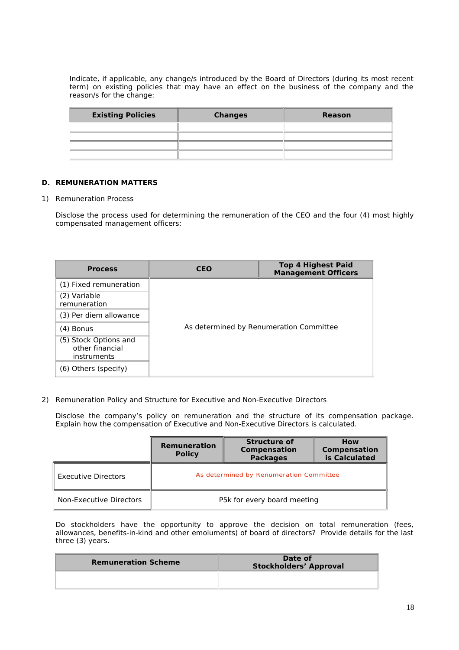Indicate, if applicable, any change/s introduced by the Board of Directors (during its most recent term) on existing policies that may have an effect on the business of the company and the reason/s for the change:

| <b>Existing Policies</b> | <b>Changes</b> | <b>Reason</b> |
|--------------------------|----------------|---------------|
|                          |                |               |
|                          |                |               |
|                          |                |               |
|                          |                |               |

## **D. REMUNERATION MATTERS**

#### 1) Remuneration Process

Disclose the process used for determining the remuneration of the CEO and the four (4) most highly compensated management officers:

| <b>Process</b>                                          | CEO                                     | <b>Top 4 Highest Paid</b><br><b>Management Officers</b> |  |  |
|---------------------------------------------------------|-----------------------------------------|---------------------------------------------------------|--|--|
| (1) Fixed remuneration                                  |                                         |                                                         |  |  |
| (2) Variable<br>remuneration                            |                                         |                                                         |  |  |
| (3) Per diem allowance                                  |                                         |                                                         |  |  |
| (4) Bonus                                               | As determined by Renumeration Committee |                                                         |  |  |
| (5) Stock Options and<br>other financial<br>instruments |                                         |                                                         |  |  |
| (6) Others (specify)                                    |                                         |                                                         |  |  |

2) Remuneration Policy and Structure for Executive and Non-Executive Directors

Disclose the company's policy on remuneration and the structure of its compensation package. Explain how the compensation of Executive and Non-Executive Directors is calculated.

|                            | <b>Structure of</b><br><b>Remuneration</b><br>Compensation<br><b>Policy</b><br><b>Packages</b> |  | <b>How</b><br>Compensation<br>is Calculated |  |  |
|----------------------------|------------------------------------------------------------------------------------------------|--|---------------------------------------------|--|--|
| <b>Executive Directors</b> | As determined by Renumeration Committee                                                        |  |                                             |  |  |
| Non-Executive Directors    | P5k for every board meeting                                                                    |  |                                             |  |  |

Do stockholders have the opportunity to approve the decision on total remuneration (fees, allowances, benefits-in-kind and other emoluments) of board of directors? Provide details for the last three (3) years.

| <b>Remuneration Scheme</b> | Date of<br><b>Stockholders' Approval</b> |
|----------------------------|------------------------------------------|
|                            |                                          |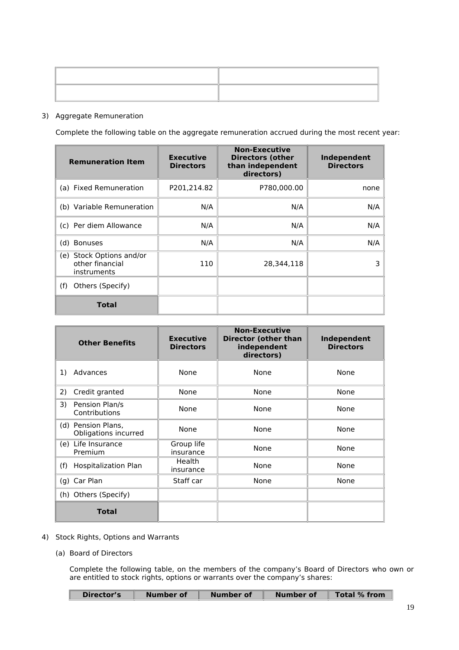## 3) Aggregate Remuneration

Complete the following table on the aggregate remuneration accrued during the most recent year:

| <b>Remuneration Item</b>                                   | <b>Executive</b><br><b>Directors</b> | <b>Non-Executive</b><br><b>Directors (other</b><br>than independent<br>directors) | Independent<br><b>Directors</b> |
|------------------------------------------------------------|--------------------------------------|-----------------------------------------------------------------------------------|---------------------------------|
| (a) Fixed Remuneration                                     | P201,214.82                          | P780,000.00                                                                       | none                            |
| (b) Variable Remuneration                                  | N/A                                  | N/A                                                                               | N/A                             |
| (c) Per diem Allowance                                     | N/A                                  | N/A                                                                               | N/A                             |
| (d) Bonuses                                                | N/A                                  | N/A                                                                               | N/A                             |
| (e) Stock Options and/or<br>other financial<br>instruments | 110                                  | 28,344,118                                                                        |                                 |
| Others (Specify)<br>(f)                                    |                                      |                                                                                   |                                 |
| Total                                                      |                                      |                                                                                   |                                 |

| <b>Other Benefits</b>                      | <b>Executive</b><br><b>Directors</b> | <b>Non-Executive</b><br><b>Director (other than</b><br>independent<br>directors) | Independent<br><b>Directors</b> |
|--------------------------------------------|--------------------------------------|----------------------------------------------------------------------------------|---------------------------------|
| Advances<br>1)                             | None                                 | None                                                                             | None                            |
| Credit granted<br>2)                       | None                                 | None                                                                             | None                            |
| Pension Plan/s<br>3)<br>Contributions      | None                                 | None                                                                             | None                            |
| (d) Pension Plans,<br>Obligations incurred | None                                 | None                                                                             | None                            |
| (e) Life Insurance<br>Premium              | Group life<br>insurance              | None                                                                             | None                            |
| (f)<br><b>Hospitalization Plan</b>         | Health<br>insurance                  | None                                                                             | None                            |
| (g) Car Plan                               | Staff car                            | None                                                                             | None                            |
| (h) Others (Specify)                       |                                      |                                                                                  |                                 |
| <b>Total</b>                               |                                      |                                                                                  |                                 |

- 4) Stock Rights, Options and Warrants
	- (a) Board of Directors

Г

Complete the following table, on the members of the company's Board of Directors who own or are entitled to stock rights, options or warrants over the company's shares:

| Director's | Number of | Number of | Number of | Total % from |
|------------|-----------|-----------|-----------|--------------|
|            |           |           |           |              |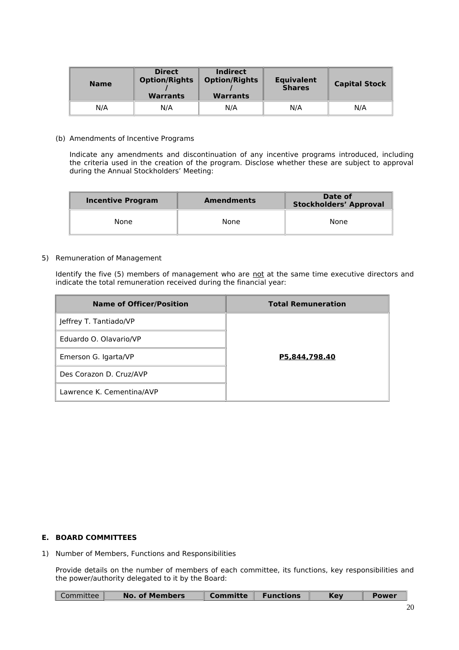| <b>Name</b> | <b>Direct</b><br><b>Option/Rights</b><br><b>Warrants</b> | Indirect<br><b>Option/Rights</b><br><b>Warrants</b> | <b>Equivalent</b><br><b>Shares</b> | <b>Capital Stock</b> |
|-------------|----------------------------------------------------------|-----------------------------------------------------|------------------------------------|----------------------|
| N/A         | N/A                                                      | N/A                                                 | N/A                                | N/A                  |

(b) Amendments of Incentive Programs

Indicate any amendments and discontinuation of any incentive programs introduced, including the criteria used in the creation of the program. Disclose whether these are subject to approval during the Annual Stockholders' Meeting:

| Incentive Program | <b>Amendments</b> |      |
|-------------------|-------------------|------|
| None              | None              | None |

#### 5) Remuneration of Management

Identify the five (5) members of management who are not at the same time executive directors and indicate the total remuneration received during the financial year:

| <b>Name of Officer/Position</b> | <b>Total Remuneration</b> |
|---------------------------------|---------------------------|
| Jeffrey T. Tantiado/VP          |                           |
| Eduardo O. Olavario/VP          |                           |
| Emerson G. Igarta/VP            | P5,844,798.40             |
| Des Corazon D. Cruz/AVP         |                           |
| Lawrence K. Cementina/AVP       |                           |

## **E. BOARD COMMITTEES**

1) Number of Members, Functions and Responsibilities

Provide details on the number of members of each committee, its functions, key responsibilities and the power/authority delegated to it by the Board:

| <b>No. of Members</b><br><b>Functions</b><br>Committee<br>Committe | Kev | <b>Power</b> |
|--------------------------------------------------------------------|-----|--------------|
|--------------------------------------------------------------------|-----|--------------|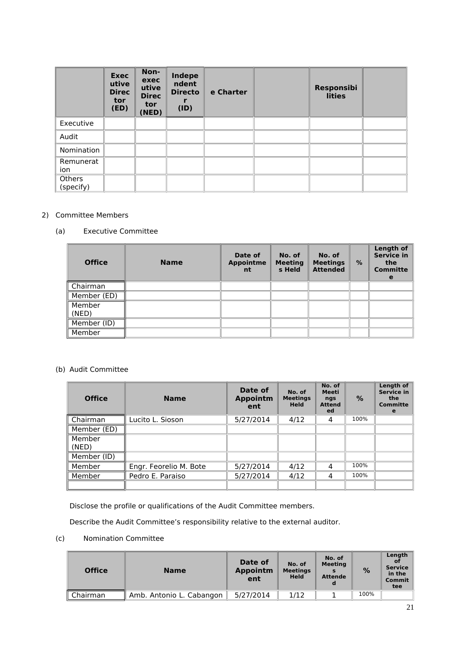|                     | <b>Exec</b><br>utive<br><b>Direc</b><br>tor<br>(ED) | Non-<br>exec<br>utive<br><b>Direc</b><br>tor<br>(NED) | Indepe<br>ndent<br><b>Directo</b><br>(ID) | e Charter | Responsibi<br><b>lities</b> |  |
|---------------------|-----------------------------------------------------|-------------------------------------------------------|-------------------------------------------|-----------|-----------------------------|--|
| Executive           |                                                     |                                                       |                                           |           |                             |  |
| Audit               |                                                     |                                                       |                                           |           |                             |  |
| Nomination          |                                                     |                                                       |                                           |           |                             |  |
| Remunerat<br>ion    |                                                     |                                                       |                                           |           |                             |  |
| Others<br>(specify) |                                                     |                                                       |                                           |           |                             |  |

## 2) Committee Members

## (a) Executive Committee

| <b>Office</b>   | <b>Name</b> | Date of<br><b>Appointme</b><br>nt | No. of<br><b>Meeting</b><br>s Held | No. of<br><b>Meetings</b><br><b>Attended</b> | $\%$ | <b>Length of</b><br><b>Service in</b><br>the<br><b>Committe</b><br>e |
|-----------------|-------------|-----------------------------------|------------------------------------|----------------------------------------------|------|----------------------------------------------------------------------|
| Chairman        |             |                                   |                                    |                                              |      |                                                                      |
| Member (ED)     |             |                                   |                                    |                                              |      |                                                                      |
| Member<br>(NED) |             |                                   |                                    |                                              |      |                                                                      |
| Member (ID)     |             |                                   |                                    |                                              |      |                                                                      |
| Member          |             |                                   |                                    |                                              |      |                                                                      |

# (b) Audit Committee

| <b>Office</b>   | <b>Name</b>            | Date of<br><b>Appointm</b><br>ent | No. of<br><b>Meetings</b><br><b>Held</b> | No. of<br><b>Meeti</b><br>ngs<br><b>Attend</b><br>ed | $\%$ | Length of<br><b>Service in</b><br>the<br><b>Committe</b><br>e |
|-----------------|------------------------|-----------------------------------|------------------------------------------|------------------------------------------------------|------|---------------------------------------------------------------|
| Chairman        | Lucito L. Sioson       | 5/27/2014                         | 4/12                                     | 4                                                    | 100% |                                                               |
| Member (ED)     |                        |                                   |                                          |                                                      |      |                                                               |
| Member<br>(NED) |                        |                                   |                                          |                                                      |      |                                                               |
| Member (ID)     |                        |                                   |                                          |                                                      |      |                                                               |
| Member          | Engr. Feorelio M. Bote | 5/27/2014                         | 4/12                                     | 4                                                    | 100% |                                                               |
| Member          | Pedro E. Paraiso       | 5/27/2014                         | 4/12                                     | 4                                                    | 100% |                                                               |
|                 |                        |                                   |                                          |                                                      |      |                                                               |

Disclose the profile or qualifications of the Audit Committee members.

Describe the Audit Committee's responsibility relative to the external auditor.

(c) Nomination Committee

| <b>Office</b> | <b>Name</b>              | Date of<br><b>Appointm</b><br>ent | No. of<br><b>Meetings</b><br><b>Held</b> | No. of<br><b>Meeting</b><br><b>Attende</b> | %    | Length<br>01<br><b>Service</b><br>in the<br>Commit<br>tee |
|---------------|--------------------------|-----------------------------------|------------------------------------------|--------------------------------------------|------|-----------------------------------------------------------|
| Chairman      | Amb. Antonio L. Cabangon | 5/27/2014                         | 1/12                                     |                                            | 100% |                                                           |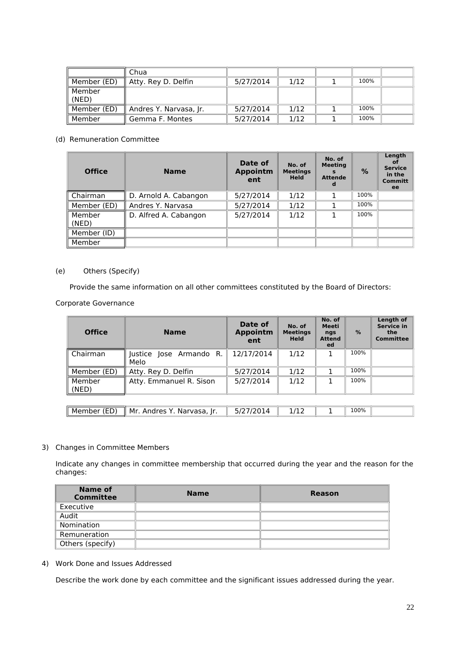|                 | Chua                   |           |      |      |  |
|-----------------|------------------------|-----------|------|------|--|
| Member (ED)     | Atty. Rey D. Delfin    | 5/27/2014 | 1/12 | 100% |  |
| Member<br>(NED) |                        |           |      |      |  |
| Member (ED)     | Andres Y. Narvasa, Jr. | 5/27/2014 | 1/12 | 100% |  |
| Member          | Gemma F. Montes        | 5/27/2014 | 1/12 | 100% |  |

## (d) Remuneration Committee

| <b>Office</b>   | <b>Name</b>           | Date of<br><b>Appointm</b><br>ent | No. of<br><b>Meetings</b><br><b>Held</b> | No. of<br><b>Meeting</b><br><b>Attende</b> | %    | Length<br>0f<br><b>Service</b><br>in the<br><b>Committ</b><br>ee |
|-----------------|-----------------------|-----------------------------------|------------------------------------------|--------------------------------------------|------|------------------------------------------------------------------|
| Chairman        | D. Arnold A. Cabangon | 5/27/2014                         | 1/12                                     |                                            | 100% |                                                                  |
| Member (ED)     | Andres Y. Narvasa     | 5/27/2014                         | 1/12                                     |                                            | 100% |                                                                  |
| Member<br>(NED) | D. Alfred A. Cabangon | 5/27/2014                         | 1/12                                     |                                            | 100% |                                                                  |
| Member (ID)     |                       |                                   |                                          |                                            |      |                                                                  |
| Member          |                       |                                   |                                          |                                            |      |                                                                  |

## (e) Others (Specify)

Provide the same information on all other committees constituted by the Board of Directors:

Corporate Governance

| <b>Office</b>   | <b>Name</b>                     | Date of<br><b>Appointm</b><br>ent | No. of<br><b>Meetings</b><br><b>Held</b> | No. of<br><b>Meeti</b><br>ngs<br><b>Attend</b><br>ed | $\%$ | <b>Length of</b><br><b>Service in</b><br>the<br><b>Committee</b> |
|-----------------|---------------------------------|-----------------------------------|------------------------------------------|------------------------------------------------------|------|------------------------------------------------------------------|
| Chairman        | Justice Jose Armando R.<br>Melo | 12/17/2014                        | 1/12                                     |                                                      | 100% |                                                                  |
| Member (ED)     | Atty. Rey D. Delfin             | 5/27/2014                         | 1/12                                     |                                                      | 100% |                                                                  |
| Member<br>(NED) | Atty. Emmanuel R. Sison         | 5/27/2014                         | 1/12                                     |                                                      | 100% |                                                                  |
|                 |                                 |                                   |                                          |                                                      |      |                                                                  |
| Member (ED)     | Mr. Andres Y. Narvasa, Jr.      | 5/27/2014                         | 1/12                                     |                                                      | 100% |                                                                  |

## 3) Changes in Committee Members

Indicate any changes in committee membership that occurred during the year and the reason for the changes:

| Name of<br><b>Committee</b> | <b>Name</b> | <b>Reason</b> |
|-----------------------------|-------------|---------------|
| Executive                   |             |               |
| Audit                       |             |               |
| Nomination                  |             |               |
| Remuneration                |             |               |
| Others (specify)            |             |               |

### 4) Work Done and Issues Addressed

Describe the work done by each committee and the significant issues addressed during the year.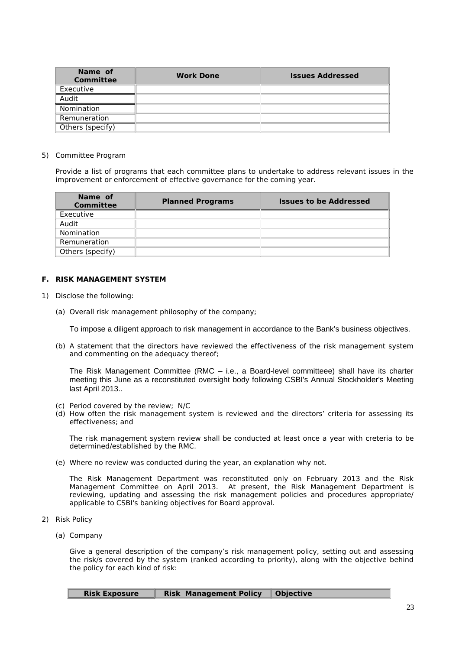| Name of<br><b>Committee</b> | <b>Work Done</b> | <b>Issues Addressed</b> |
|-----------------------------|------------------|-------------------------|
| Executive                   |                  |                         |
| Audit                       |                  |                         |
| Nomination                  |                  |                         |
| Remuneration                |                  |                         |
| Others (specify)            |                  |                         |

#### 5) Committee Program

Provide a list of programs that each committee plans to undertake to address relevant issues in the improvement or enforcement of effective governance for the coming year.

| Name of<br><b>Committee</b> | <b>Planned Programs</b> | <b>Issues to be Addressed</b> |
|-----------------------------|-------------------------|-------------------------------|
| Executive                   |                         |                               |
| Audit                       |                         |                               |
| <b>Nomination</b>           |                         |                               |
| Remuneration                |                         |                               |
| Others (specify)            |                         |                               |

#### **F. RISK MANAGEMENT SYSTEM**

- 1) Disclose the following:
	- (a) Overall risk management philosophy of the company;

To impose a diligent approach to risk management in accordance to the Bank's business objectives.

(b) A statement that the directors have reviewed the effectiveness of the risk management system and commenting on the adequacy thereof;

The Risk Management Committee (RMC – i.e., a Board-level committeee) shall have its charter meeting this June as a reconstituted oversight body following CSBI's Annual Stockholder's Meeting last April 2013..

- (c) Period covered by the review; N/C
- (d) How often the risk management system is reviewed and the directors' criteria for assessing its effectiveness; and

The risk management system review shall be conducted at least once a year with creteria to be determined/established by the RMC.

(e) Where no review was conducted during the year, an explanation why not.

The Risk Management Department was reconstituted only on February 2013 and the Risk Management Committee on April 2013. At present, the Risk Management Department is reviewing, updating and assessing the risk management policies and procedures appropriate/ applicable to CSBI's banking objectives for Board approval.

- 2) Risk Policy
	- (a) Company

Give a general description of the company's risk management policy, setting out and assessing the risk/s covered by the system (ranked according to priority), along with the objective behind the policy for each kind of risk:

| <b>Risk Exposure</b> | <b>Risk Management Policy   Objective</b> |  |
|----------------------|-------------------------------------------|--|
|----------------------|-------------------------------------------|--|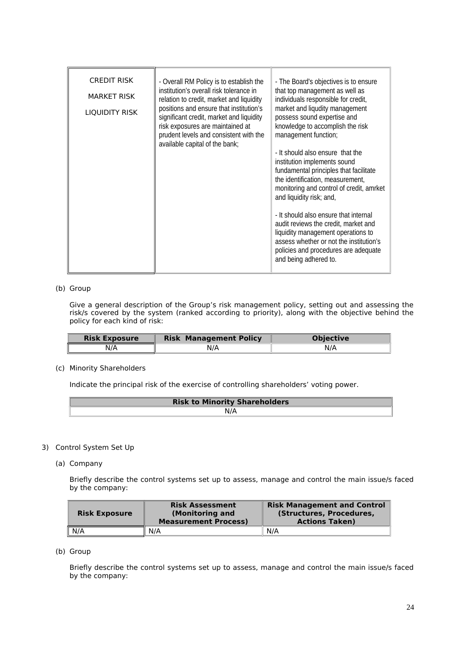| and liquidity risk; and,<br>- It should also ensure that internal<br>audit reviews the credit, market and<br>liquidity management operations to<br>and being adhered to. | <b>CREDIT RISK</b><br><b>MARKET RISK</b><br>LIQUIDITY RISK | - Overall RM Policy is to establish the<br>institution's overall risk tolerance in<br>relation to credit, market and liquidity<br>positions and ensure that institution's<br>significant credit, market and liquidity<br>risk exposures are maintained at<br>prudent levels and consistent with the<br>available capital of the bank; | - The Board's objectives is to ensure<br>that top management as well as<br>individuals responsible for credit,<br>market and liqudity management<br>possess sound expertise and<br>knowledge to accomplish the risk<br>management function;<br>- It should also ensure that the<br>institution implements sound<br>fundamental principles that facilitate<br>the identification, measurement,<br>monitoring and control of credit, amrket<br>assess whether or not the institution's<br>policies and procedures are adequate |
|--------------------------------------------------------------------------------------------------------------------------------------------------------------------------|------------------------------------------------------------|---------------------------------------------------------------------------------------------------------------------------------------------------------------------------------------------------------------------------------------------------------------------------------------------------------------------------------------|------------------------------------------------------------------------------------------------------------------------------------------------------------------------------------------------------------------------------------------------------------------------------------------------------------------------------------------------------------------------------------------------------------------------------------------------------------------------------------------------------------------------------|
|--------------------------------------------------------------------------------------------------------------------------------------------------------------------------|------------------------------------------------------------|---------------------------------------------------------------------------------------------------------------------------------------------------------------------------------------------------------------------------------------------------------------------------------------------------------------------------------------|------------------------------------------------------------------------------------------------------------------------------------------------------------------------------------------------------------------------------------------------------------------------------------------------------------------------------------------------------------------------------------------------------------------------------------------------------------------------------------------------------------------------------|

#### (b) Group

Give a general description of the Group's risk management policy, setting out and assessing the risk/s covered by the system (ranked according to priority), along with the objective behind the policy for each kind of risk:

| <b>Risk Exposure</b> | <b>Management Policy</b><br><b>Risk</b> | <b>Objective</b> |
|----------------------|-----------------------------------------|------------------|
| N/A                  | N/A                                     |                  |

(c) Minority Shareholders

Indicate the principal risk of the exercise of controlling shareholders' voting power.

| <b>Risk to Minority Shareholders</b> |  |
|--------------------------------------|--|
|                                      |  |

## 3) Control System Set Up

(a) Company

Briefly describe the control systems set up to assess, manage and control the main issue/s faced by the company:

| <b>Risk Exposure</b> | <b>Risk Assessment</b><br>(Monitoring and<br><b>Measurement Process)</b> | <b>Risk Management and Control</b><br>(Structures, Procedures,<br><b>Actions Taken)</b> |
|----------------------|--------------------------------------------------------------------------|-----------------------------------------------------------------------------------------|
| N/A                  | N/A                                                                      | N/A                                                                                     |

(b) Group

Briefly describe the control systems set up to assess, manage and control the main issue/s faced by the company: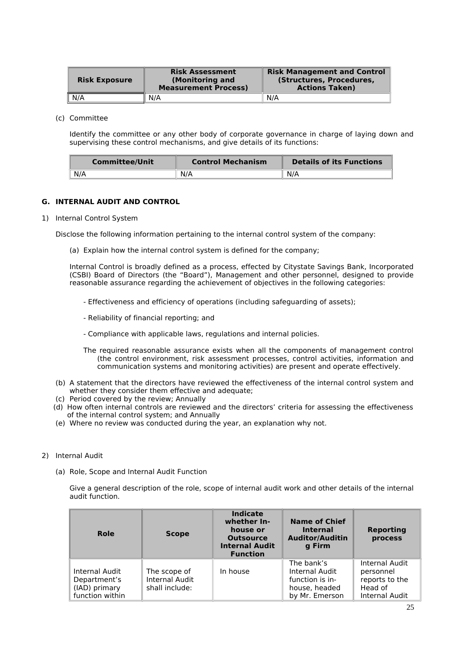| <b>Risk Exposure</b> | <b>Risk Assessment</b><br>(Monitoring and<br><b>Measurement Process)</b> | <b>Risk Management and Control</b><br>(Structures, Procedures,<br><b>Actions Taken)</b> |
|----------------------|--------------------------------------------------------------------------|-----------------------------------------------------------------------------------------|
| N/A                  | N/A                                                                      | N/A                                                                                     |

(c) Committee

Identify the committee or any other body of corporate governance in charge of laying down and supervising these control mechanisms, and give details of its functions:

| <b>Committee/Unit</b> | <b>Control Mechanism</b> | <b>Details of its Functions</b> |
|-----------------------|--------------------------|---------------------------------|
| N/A                   | N/A                      | N/A                             |

## **G. INTERNAL AUDIT AND CONTROL**

1) Internal Control System

Disclose the following information pertaining to the internal control system of the company:

(a) Explain how the internal control system is defined for the company;

Internal Control is broadly defined as a process, effected by Citystate Savings Bank, Incorporated (CSBI) Board of Directors (the "Board"), Management and other personnel, designed to provide reasonable assurance regarding the achievement of objectives in the following categories:

- Effectiveness and efficiency of operations (including safeguarding of assets);
- Reliability of financial reporting; and
- Compliance with applicable laws, regulations and internal policies.
- The required reasonable assurance exists when all the components of management control (the control environment, risk assessment processes, control activities, information and communication systems and monitoring activities) are present and operate effectively.
- (b) A statement that the directors have reviewed the effectiveness of the internal control system and whether they consider them effective and adequate;
- (c) Period covered by the review; Annually
- (d) How often internal controls are reviewed and the directors' criteria for assessing the effectiveness of the internal control system; and Annually
- (e) Where no review was conducted during the year, an explanation why not.
- 2) Internal Audit
	- (a) Role, Scope and Internal Audit Function

Give a general description of the role, scope of internal audit work and other details of the internal audit function.

| Role                                                               | <b>Scope</b>                                     | <b>Indicate</b><br>whether In-<br>house or<br><b>Outsource</b><br><b>Internal Audit</b><br><b>Function</b> | <b>Name of Chief</b><br><b>Internal</b><br><b>Auditor/Auditin</b><br>g Firm        | <b>Reporting</b><br>process                                                |
|--------------------------------------------------------------------|--------------------------------------------------|------------------------------------------------------------------------------------------------------------|------------------------------------------------------------------------------------|----------------------------------------------------------------------------|
| Internal Audit<br>Department's<br>(IAD) primary<br>function within | The scope of<br>Internal Audit<br>shall include: | In house                                                                                                   | The bank's<br>Internal Audit<br>function is in-<br>house, headed<br>by Mr. Emerson | Internal Audit<br>personnel<br>reports to the<br>Head of<br>Internal Audit |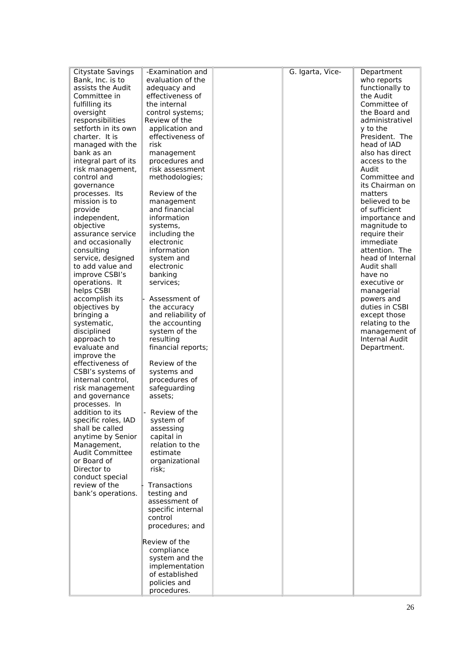| Citystate Savings                  | -Examination and   | G. Igarta, Vice- | Department                      |
|------------------------------------|--------------------|------------------|---------------------------------|
| Bank, Inc. is to                   | evaluation of the  |                  | who reports                     |
| assists the Audit                  | adequacy and       |                  | functionally to                 |
| Committee in                       | effectiveness of   |                  | the Audit                       |
| fulfilling its                     | the internal       |                  | Committee of                    |
| oversight                          | control systems;   |                  | the Board and                   |
| responsibilities                   | Review of the      |                  | administrativel                 |
| setforth in its own                | application and    |                  | y to the                        |
| charter. It is                     | effectiveness of   |                  | President. The                  |
| managed with the                   | risk               |                  | head of IAD                     |
| bank as an                         | management         |                  | also has direct                 |
| integral part of its               | procedures and     |                  | access to the                   |
| risk management,                   | risk assessment    |                  | Audit                           |
| control and                        | methodologies;     |                  | Committee and                   |
| governance                         |                    |                  | its Chairman on                 |
| processes. Its                     | Review of the      |                  | matters                         |
| mission is to                      | management         |                  | believed to be                  |
| provide                            | and financial      |                  | of sufficient                   |
| independent,                       | information        |                  | importance and                  |
| objective                          | systems,           |                  | magnitude to                    |
| assurance service                  | including the      |                  | require their                   |
| and occasionally                   | electronic         |                  | immediate                       |
| consulting                         | information        |                  | attention. The                  |
| service, designed                  | system and         |                  | head of Internal<br>Audit shall |
| to add value and<br>improve CSBI's | electronic         |                  |                                 |
| operations. It                     | banking            |                  | have no<br>executive or         |
| helps CSBI                         | services;          |                  | managerial                      |
| accomplish its                     | Assessment of      |                  | powers and                      |
| objectives by                      | the accuracy       |                  | duties in CSBI                  |
| bringing a                         | and reliability of |                  | except those                    |
| systematic,                        | the accounting     |                  | relating to the                 |
| disciplined                        | system of the      |                  | management of                   |
| approach to                        | resulting          |                  | Internal Audit                  |
| evaluate and                       | financial reports; |                  | Department.                     |
| improve the                        |                    |                  |                                 |
| effectiveness of                   | Review of the      |                  |                                 |
| CSBI's systems of                  | systems and        |                  |                                 |
| internal control,                  | procedures of      |                  |                                 |
| risk management                    | safeguarding       |                  |                                 |
| and governance                     | assets;            |                  |                                 |
| processes. In                      |                    |                  |                                 |
| addition to its                    | Review of the      |                  |                                 |
| specific roles, IAD                | system of          |                  |                                 |
| shall be called                    | assessing          |                  |                                 |
| anytime by Senior                  | capital in         |                  |                                 |
| Management,                        | relation to the    |                  |                                 |
| <b>Audit Committee</b>             | estimate           |                  |                                 |
| or Board of                        | organizational     |                  |                                 |
| Director to                        | risk;              |                  |                                 |
| conduct special                    |                    |                  |                                 |
| review of the                      | Transactions       |                  |                                 |
| bank's operations.                 | testing and        |                  |                                 |
|                                    | assessment of      |                  |                                 |
|                                    | specific internal  |                  |                                 |
|                                    | control            |                  |                                 |
|                                    | procedures; and    |                  |                                 |
|                                    | Review of the      |                  |                                 |
|                                    | compliance         |                  |                                 |
|                                    | system and the     |                  |                                 |
|                                    | implementation     |                  |                                 |
|                                    | of established     |                  |                                 |
|                                    | policies and       |                  |                                 |
|                                    | procedures.        |                  |                                 |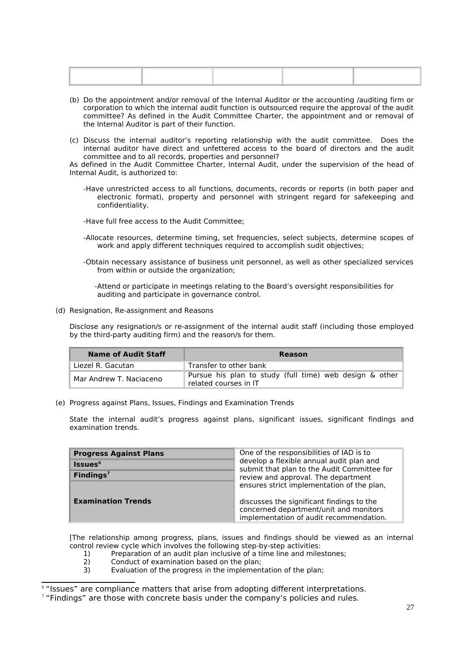| the control of the control of the control of the control of the control of the control of the control of the control of the control of the control of the control of the control of the control of the control of the control |  |  |
|-------------------------------------------------------------------------------------------------------------------------------------------------------------------------------------------------------------------------------|--|--|
|                                                                                                                                                                                                                               |  |  |
|                                                                                                                                                                                                                               |  |  |
|                                                                                                                                                                                                                               |  |  |
|                                                                                                                                                                                                                               |  |  |
|                                                                                                                                                                                                                               |  |  |
|                                                                                                                                                                                                                               |  |  |
|                                                                                                                                                                                                                               |  |  |
|                                                                                                                                                                                                                               |  |  |
|                                                                                                                                                                                                                               |  |  |

- (b) Do the appointment and/or removal of the Internal Auditor or the accounting /auditing firm or corporation to which the internal audit function is outsourced require the approval of the audit committee? As defined in the Audit Committee Charter, the appointment and or removal of the Internal Auditor is part of their function.
- (c) Discuss the internal auditor's reporting relationship with the audit committee. Does the internal auditor have direct and unfettered access to the board of directors and the audit committee and to all records, properties and personnel?

As defined in the Audit Committee Charter, Internal Audit, under the supervision of the head of Internal Audit, is authorized to:

- -Have unrestricted access to all functions, documents, records or reports (in both paper and electronic format), property and personnel with stringent regard for safekeeping and confidentiality.
- -Have full free access to the Audit Committee;
- -Allocate resources, determine timing, set frequencies, select subjects, determine scopes of work and apply different techniques required to accomplish sudit objectives;
- -Obtain necessary assistance of business unit personnel, as well as other specialized services from within or outside the organization;

 -Attend or participate in meetings relating to the Board's oversight responsibilities for auditing and participate in governance control.

(d) Resignation, Re-assignment and Reasons

Disclose any resignation/s or re-assignment of the internal audit staff (including those employed by the third-party auditing firm) and the reason/s for them.

| Name of Audit Staff     | Reason                                                                           |  |  |
|-------------------------|----------------------------------------------------------------------------------|--|--|
| Liezel R. Gacutan       | Transfer to other bank                                                           |  |  |
| Mar Andrew T. Naciaceno | Pursue his plan to study (full time) web design & other<br>related courses in IT |  |  |

(e) Progress against Plans, Issues, Findings and Examination Trends

State the internal audit's progress against plans, significant issues, significant findings and examination trends.

| <b>Progress Against Plans</b> | One of the responsibilities of IAD is to                                                                                       |  |
|-------------------------------|--------------------------------------------------------------------------------------------------------------------------------|--|
| <b>Issues</b> <sup>6</sup>    | develop a flexible annual audit plan and<br>submit that plan to the Audit Committee for                                        |  |
| Findings $7$                  | review and approval. The department                                                                                            |  |
|                               | ensures strict implementation of the plan,                                                                                     |  |
| <b>Examination Trends</b>     | discusses the significant findings to the<br>concerned department/unit and monitors<br>implementation of audit recommendation. |  |

[The relationship among progress, plans, issues and findings should be viewed as an internal control review cycle which involves the following step-by-step activities:

- 1) Preparation of an audit plan inclusive of a time line and milestones;<br>2) Conduct of examination based on the plan:
- 2) Conduct of examination based on the plan;<br>3) Evaluation of the progress in the implement
- Evaluation of the progress in the implementation of the plan;

<span id="page-26-0"></span><sup>6</sup> "Issues" are compliance matters that arise from adopting different interpretations.

<span id="page-26-1"></span> $7$  "Findings" are those with concrete basis under the company's policies and rules.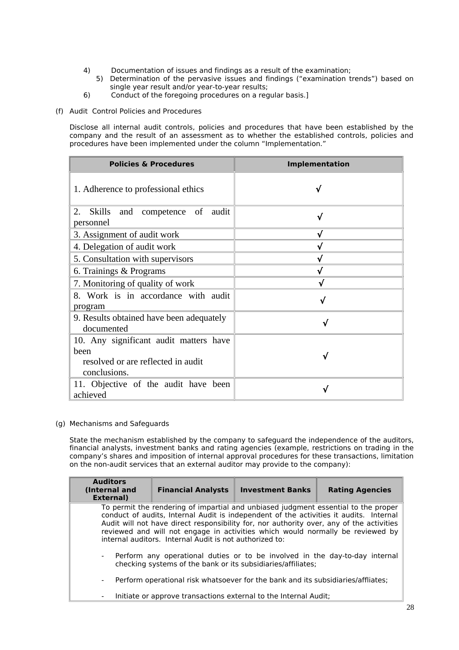- 4) Documentation of issues and findings as a result of the examination;
- 5) Determination of the pervasive issues and findings ("examination trends") based on single year result and/or year-to-year results;
- 6) Conduct of the foregoing procedures on a regular basis.]
- (f) Audit Control Policies and Procedures

Disclose all internal audit controls, policies and procedures that have been established by the company and the result of an assessment as to whether the established controls, policies and procedures have been implemented under the column "Implementation."

| <b>Policies &amp; Procedures</b>                           | <b>Implementation</b> |
|------------------------------------------------------------|-----------------------|
| 1. Adherence to professional ethics                        |                       |
| Skills and competence of audit<br>2.<br>personnel          | ิง                    |
| 3. Assignment of audit work                                |                       |
| 4. Delegation of audit work                                |                       |
| 5. Consultation with supervisors                           |                       |
| 6. Trainings & Programs                                    | N                     |
| 7. Monitoring of quality of work                           | ิง                    |
| 8. Work is in accordance with audit<br>program             |                       |
| 9. Results obtained have been adequately<br>documented     |                       |
| 10. Any significant audit matters have                     |                       |
| heen<br>resolved or are reflected in audit<br>conclusions. |                       |
| 11. Objective of the audit have been<br>achieved           |                       |

(g) Mechanisms and Safeguards

State the mechanism established by the company to safeguard the independence of the auditors, financial analysts, investment banks and rating agencies (example, restrictions on trading in the company's shares and imposition of internal approval procedures for these transactions, limitation on the non-audit services that an external auditor may provide to the company):

| <b>Auditors</b><br>(Internal and<br>External)                                                                                                                                                                                                                                                                                                                                                                         | <b>Financial Analysts</b> | <b>Investment Banks</b> | <b>Rating Agencies</b> |  |
|-----------------------------------------------------------------------------------------------------------------------------------------------------------------------------------------------------------------------------------------------------------------------------------------------------------------------------------------------------------------------------------------------------------------------|---------------------------|-------------------------|------------------------|--|
| To permit the rendering of impartial and unbiased judgment essential to the proper<br>conduct of audits, Internal Audit is independent of the activities it audits. Internal<br>Audit will not have direct responsibility for, nor authority over, any of the activities<br>reviewed and will not engage in activities which would normally be reviewed by<br>internal auditors. Internal Audit is not authorized to: |                           |                         |                        |  |
| - Perform any operational duties or to be involved in the day-to-day internal<br>checking systems of the bank or its subsidiaries/affiliates;                                                                                                                                                                                                                                                                         |                           |                         |                        |  |
| Perform operational risk whatsoever for the bank and its subsidiaries/affliates;<br>$\overline{\phantom{a}}$                                                                                                                                                                                                                                                                                                          |                           |                         |                        |  |
| Initiate or approve transactions external to the Internal Audit;<br>$\overline{\phantom{a}}$                                                                                                                                                                                                                                                                                                                          |                           |                         |                        |  |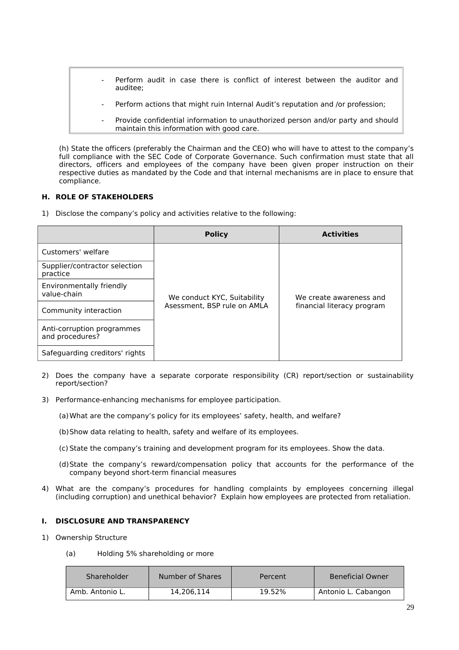- Perform audit in case there is conflict of interest between the auditor and auditee;
	- Perform actions that might ruin Internal Audit's reputation and /or profession:
	- Provide confidential information to unauthorized person and/or party and should maintain this information with good care.

(h) State the officers (preferably the Chairman and the CEO) who will have to attest to the company's full compliance with the SEC Code of Corporate Governance. Such confirmation must state that all directors, officers and employees of the company have been given proper instruction on their respective duties as mandated by the Code and that internal mechanisms are in place to ensure that compliance.

## **H. ROLE OF STAKEHOLDERS**

1) Disclose the company's policy and activities relative to the following:

|                                               | <b>Policy</b>               | <b>Activities</b>          |
|-----------------------------------------------|-----------------------------|----------------------------|
| Customers' welfare                            |                             |                            |
| Supplier/contractor selection<br>practice     |                             |                            |
| Environmentally friendly<br>value-chain       | We conduct KYC, Suitability | We create awareness and    |
| Community interaction                         | Asessment, BSP rule on AMLA | financial literacy program |
| Anti-corruption programmes<br>and procedures? |                             |                            |
| Safeguarding creditors' rights                |                             |                            |

- 2) Does the company have a separate corporate responsibility (CR) report/section or sustainability report/section?
- 3) Performance-enhancing mechanisms for employee participation.
	- (a)What are the company's policy for its employees' safety, health, and welfare?
	- (b)Show data relating to health, safety and welfare of its employees.
	- (c) State the company's training and development program for its employees. Show the data.
	- (d)State the company's reward/compensation policy that accounts for the performance of the company beyond short-term financial measures
- 4) What are the company's procedures for handling complaints by employees concerning illegal (including corruption) and unethical behavior? Explain how employees are protected from retaliation.

## **I. DISCLOSURE AND TRANSPARENCY**

- 1) Ownership Structure
	- (a) Holding 5% shareholding or more

| Shareholder     | Number of Shares | Percent | <b>Beneficial Owner</b> |
|-----------------|------------------|---------|-------------------------|
| Amb. Antonio L. | 14.206.114       | 19.52%  | Antonio L. Cabangon     |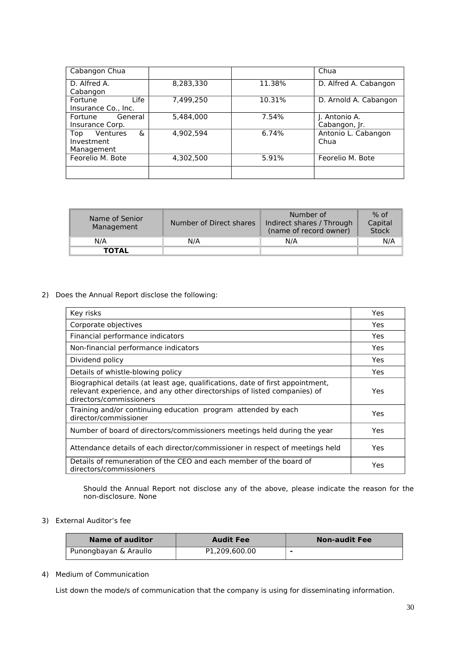| Cabangon Chua        |           |        | Chua                  |
|----------------------|-----------|--------|-----------------------|
| D. Alfred A.         | 8,283,330 | 11.38% | D. Alfred A. Cabangon |
| Cabangon             |           |        |                       |
| Life<br>Fortune      | 7.499.250 | 10.31% | D. Arnold A. Cabangon |
| Insurance Co., Inc.  |           |        |                       |
| General<br>Fortune   | 5,484,000 | 7.54%  | J. Antonio A.         |
| Insurance Corp.      |           |        | Cabangon, Jr.         |
| &<br>Ventures<br>Top | 4.902.594 | 6.74%  | Antonio L. Cabangon   |
| Investment           |           |        | Chua                  |
| Management           |           |        |                       |
| Feorelio M. Bote     | 4,302,500 | 5.91%  | Feorelio M. Bote      |
|                      |           |        |                       |
|                      |           |        |                       |

| Name of Senior<br>Management | Number of Direct shares | Number of<br>Indirect shares / Through<br>(name of record owner) | $%$ of<br>Capital<br><b>Stock</b> |
|------------------------------|-------------------------|------------------------------------------------------------------|-----------------------------------|
| N/A                          | N/A                     | N/A                                                              | N/A                               |
| <b>TOTAL</b>                 |                         |                                                                  |                                   |

# 2) Does the Annual Report disclose the following:

| Key risks                                                                                                                                                                             | Yes. |
|---------------------------------------------------------------------------------------------------------------------------------------------------------------------------------------|------|
| Corporate objectives                                                                                                                                                                  | Yes. |
| Financial performance indicators                                                                                                                                                      | Yes. |
| Non-financial performance indicators                                                                                                                                                  | Yes  |
| Dividend policy                                                                                                                                                                       | Yes. |
| Details of whistle-blowing policy                                                                                                                                                     | Yes  |
| Biographical details (at least age, qualifications, date of first appointment,<br>relevant experience, and any other directorships of listed companies) of<br>directors/commissioners | Yes. |
| Training and/or continuing education program attended by each<br>director/commissioner                                                                                                | Yes  |
| Number of board of directors/commissioners meetings held during the year                                                                                                              | Yes. |
| Attendance details of each director/commissioner in respect of meetings held                                                                                                          | Yes. |
| Details of remuneration of the CEO and each member of the board of<br>directors/commissioners                                                                                         | Yes  |

Should the Annual Report not disclose any of the above, please indicate the reason for the non-disclosure. None

## 3) External Auditor's fee

| Name of auditor       | <b>Audit Fee</b> | <b>Non-audit Fee</b> |
|-----------------------|------------------|----------------------|
| Punongbayan & Araullo | P1.209.600.00    |                      |

## 4) Medium of Communication

List down the mode/s of communication that the company is using for disseminating information.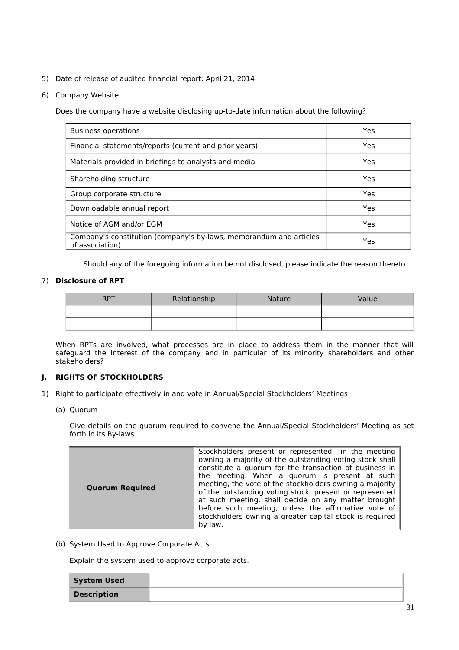- 5) Date of release of audited financial report: April 21, 2014
- 6) Company Website

Does the company have a website disclosing up-to-date information about the following?

| <b>Business operations</b>                                                            | Yes |
|---------------------------------------------------------------------------------------|-----|
| Financial statements/reports (current and prior years)                                | Yes |
| Materials provided in briefings to analysts and media                                 | Yes |
| Shareholding structure                                                                | Yes |
| Group corporate structure                                                             | Yes |
| Downloadable annual report                                                            | Yes |
| Notice of AGM and/or EGM                                                              | Yes |
| Company's constitution (company's by-laws, memorandum and articles<br>of association) | Yes |

Should any of the foregoing information be not disclosed, please indicate the reason thereto.

## 7) **Disclosure of RPT**

| RP <sub>1</sub> | Relationship | <b>Nature</b> | Value |
|-----------------|--------------|---------------|-------|
|                 |              |               |       |
|                 |              |               |       |

When RPTs are involved, what processes are in place to address them in the manner that will safeguard the interest of the company and in particular of its minority shareholders and other stakeholders?

## **J. RIGHTS OF STOCKHOLDERS**

- 1) Right to participate effectively in and vote in Annual/Special Stockholders' Meetings
	- (a) Quorum

Give details on the quorum required to convene the Annual/Special Stockholders' Meeting as set forth in its By-laws.

(b) System Used to Approve Corporate Acts

Explain the system used to approve corporate acts.

| <b>System Used</b> |  |
|--------------------|--|
| <b>Description</b> |  |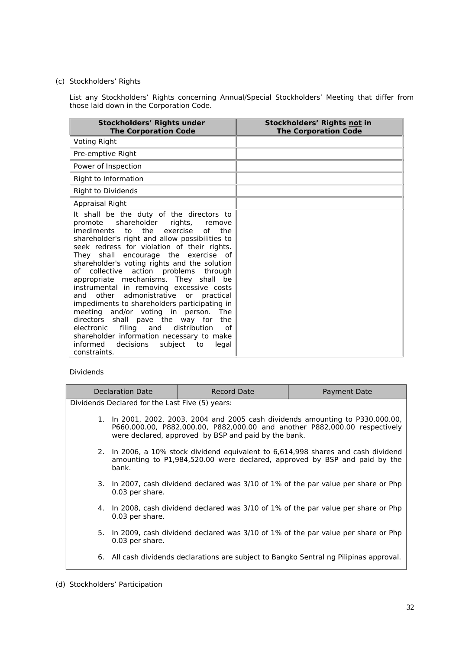# (c) Stockholders' Rights

List any Stockholders' Rights concerning Annual/Special Stockholders' Meeting that differ from those laid down in the Corporation Code.

| <b>Stockholders' Rights under</b><br><b>The Corporation Code</b>                                                                                                                                                                                                                                                                                                                                                                                                                                                                                                                                                                                                                                                                                                                                        | Stockholders' Rights not in<br><b>The Corporation Code</b> |
|---------------------------------------------------------------------------------------------------------------------------------------------------------------------------------------------------------------------------------------------------------------------------------------------------------------------------------------------------------------------------------------------------------------------------------------------------------------------------------------------------------------------------------------------------------------------------------------------------------------------------------------------------------------------------------------------------------------------------------------------------------------------------------------------------------|------------------------------------------------------------|
| <b>Voting Right</b>                                                                                                                                                                                                                                                                                                                                                                                                                                                                                                                                                                                                                                                                                                                                                                                     |                                                            |
| Pre-emptive Right                                                                                                                                                                                                                                                                                                                                                                                                                                                                                                                                                                                                                                                                                                                                                                                       |                                                            |
| Power of Inspection                                                                                                                                                                                                                                                                                                                                                                                                                                                                                                                                                                                                                                                                                                                                                                                     |                                                            |
| Right to Information                                                                                                                                                                                                                                                                                                                                                                                                                                                                                                                                                                                                                                                                                                                                                                                    |                                                            |
| <b>Right to Dividends</b>                                                                                                                                                                                                                                                                                                                                                                                                                                                                                                                                                                                                                                                                                                                                                                               |                                                            |
| <b>Appraisal Right</b>                                                                                                                                                                                                                                                                                                                                                                                                                                                                                                                                                                                                                                                                                                                                                                                  |                                                            |
| It shall be the duty of the directors to<br>promote shareholder rights, remove<br>imediments<br>the<br>exercise<br>to<br>of<br>the<br>shareholder's right and allow possibilities to<br>seek redress for violation of their rights.<br>They shall encourage the exercise of<br>shareholder's voting rights and the solution<br>action problems through<br>of collective<br>appropriate mechanisms. They shall be<br>instrumental in removing excessive costs<br>and other admonistrative or<br>practical<br>impediments to shareholders participating in<br>meeting and/or voting in person. The<br>directors shall pave the way for<br>the<br>electronic filing and<br>distribution<br>of<br>shareholder information necessary to make<br>informed<br>decisions<br>subject to<br>legal<br>constraints. |                                                            |

# Dividends

| Declaration Date                                                                                                                                                                                                     | <b>Record Date</b> | <b>Payment Date</b>                                                                     |
|----------------------------------------------------------------------------------------------------------------------------------------------------------------------------------------------------------------------|--------------------|-----------------------------------------------------------------------------------------|
| Dividends Declared for the Last Five (5) years:                                                                                                                                                                      |                    |                                                                                         |
| 1. In 2001, 2002, 2003, 2004 and 2005 cash dividends amounting to P330,000.00,<br>P660,000.00, P882,000.00, P882,000.00 and another P882,000.00 respectively<br>were declared, approved by BSP and paid by the bank. |                    |                                                                                         |
| 2. In 2006, a 10% stock dividend equivalent to 6,614,998 shares and cash dividend<br>amounting to P1,984,520.00 were declared, approved by BSP and paid by the<br>bank.                                              |                    |                                                                                         |
| 0.03 per share.                                                                                                                                                                                                      |                    | 3. In 2007, cash dividend declared was 3/10 of 1% of the par value per share or Php     |
| 0.03 per share.                                                                                                                                                                                                      |                    | 4. In 2008, cash dividend declared was 3/10 of 1% of the par value per share or Php     |
| 0.03 per share.                                                                                                                                                                                                      |                    | 5. In 2009, cash dividend declared was 3/10 of 1% of the par value per share or Php     |
|                                                                                                                                                                                                                      |                    | 6. All cash dividends declarations are subject to Bangko Sentral ng Pilipinas approval. |
|                                                                                                                                                                                                                      |                    |                                                                                         |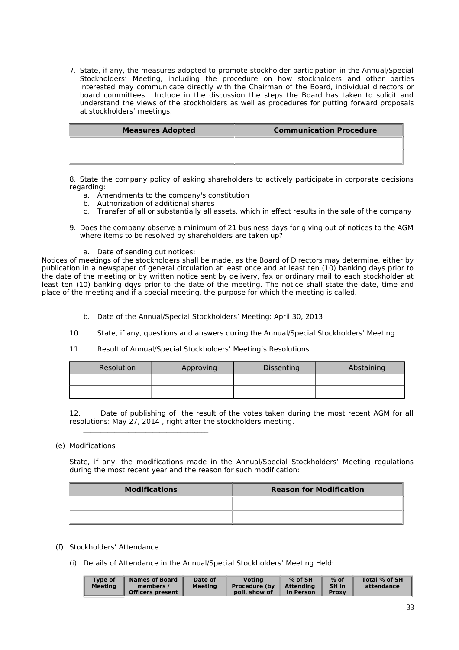7. State, if any, the measures adopted to promote stockholder participation in the Annual/Special Stockholders' Meeting, including the procedure on how stockholders and other parties interested may communicate directly with the Chairman of the Board, individual directors or board committees. Include in the discussion the steps the Board has taken to solicit and understand the views of the stockholders as well as procedures for putting forward proposals at stockholders' meetings.

| <b>Measures Adopted</b> | <b>Communication Procedure</b> |
|-------------------------|--------------------------------|
|                         |                                |
|                         |                                |

8. State the company policy of asking shareholders to actively participate in corporate decisions regarding:

- a. Amendments to the company's constitution
- b. Authorization of additional shares
- c. Transfer of all or substantially all assets, which in effect results in the sale of the company
- 9. Does the company observe a minimum of 21 business days for giving out of notices to the AGM where items to be resolved by shareholders are taken up?
	- a. Date of sending out notices:

 $\_$  . The contribution of the contribution of  $\mathcal{L}_\mathcal{A}$ 

Notices of meetings of the stockholders shall be made, as the Board of Directors may determine, either by publication in a newspaper of general circulation at least once and at least ten (10) banking days prior to the date of the meeting or by written notice sent by delivery, fax or ordinary mail to each stockholder at least ten (10) banking dqys prior to the date of the meeting. The notice shall state the date, time and place of the meeting and if a special meeting, the purpose for which the meeting is called.

- b. Date of the Annual/Special Stockholders' Meeting: April 30, 2013
- 10. State, if any, questions and answers during the Annual/Special Stockholders' Meeting.
- 11. Result of Annual/Special Stockholders' Meeting's Resolutions

| Resolution | Approving | Dissenting | Abstaining |
|------------|-----------|------------|------------|
|            |           |            |            |
|            |           |            |            |

12. Date of publishing of the result of the votes taken during the most recent AGM for all resolutions: May 27, 2014 , right after the stockholders meeting.

#### (e) Modifications

State, if any, the modifications made in the Annual/Special Stockholders' Meeting regulations during the most recent year and the reason for such modification:

| <b>Modifications</b> | <b>Reason for Modification</b> |
|----------------------|--------------------------------|
|                      |                                |
|                      |                                |

- (f) Stockholders' Attendance
	- (i) Details of Attendance in the Annual/Special Stockholders' Meeting Held: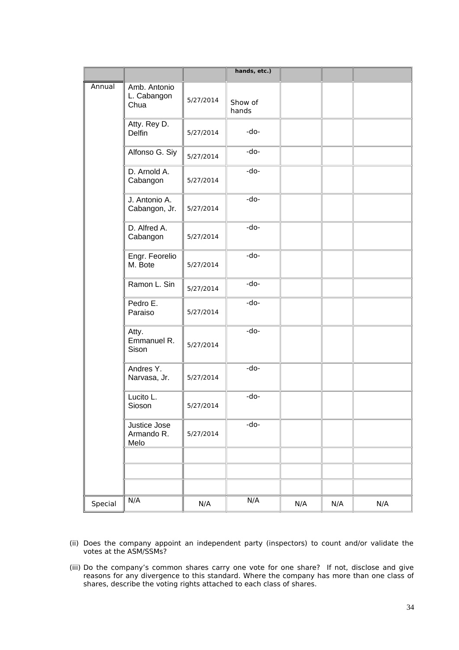|         |                                     |           | hands, etc.)     |     |     |     |
|---------|-------------------------------------|-----------|------------------|-----|-----|-----|
| Annual  | Amb. Antonio<br>L. Cabangon<br>Chua | 5/27/2014 | Show of<br>hands |     |     |     |
|         | Atty. Rey D.<br><b>Delfin</b>       | 5/27/2014 | -do-             |     |     |     |
|         | Alfonso G. Siy                      | 5/27/2014 | -do-             |     |     |     |
|         | D. Arnold A.<br>Cabangon            | 5/27/2014 | -do-             |     |     |     |
|         | J. Antonio A.<br>Cabangon, Jr.      | 5/27/2014 | -do-             |     |     |     |
|         | D. Alfred A.<br>Cabangon            | 5/27/2014 | -do-             |     |     |     |
|         | Engr. Feorelio<br>M. Bote           | 5/27/2014 | -do-             |     |     |     |
|         | Ramon L. Sin                        | 5/27/2014 | -do-             |     |     |     |
|         | Pedro E.<br>Paraiso                 | 5/27/2014 | -do-             |     |     |     |
|         | Atty.<br>Emmanuel R.<br>Sison       | 5/27/2014 | -do-             |     |     |     |
|         | Andres Y.<br>Narvasa, Jr.           | 5/27/2014 | -do-             |     |     |     |
|         | Lucito L.<br>Sioson                 | 5/27/2014 | -do-             |     |     |     |
|         | Justice Jose<br>Armando R.<br>Melo  | 5/27/2014 | -do-             |     |     |     |
|         |                                     |           |                  |     |     |     |
|         |                                     |           |                  |     |     |     |
| Special | N/A                                 | N/A       | N/A              | N/A | N/A | N/A |

- (ii) Does the company appoint an independent party (inspectors) to count and/or validate the votes at the ASM/SSMs?
- (iii) Do the company's common shares carry one vote for one share? If not, disclose and give reasons for any divergence to this standard. Where the company has more than one class of shares, describe the voting rights attached to each class of shares.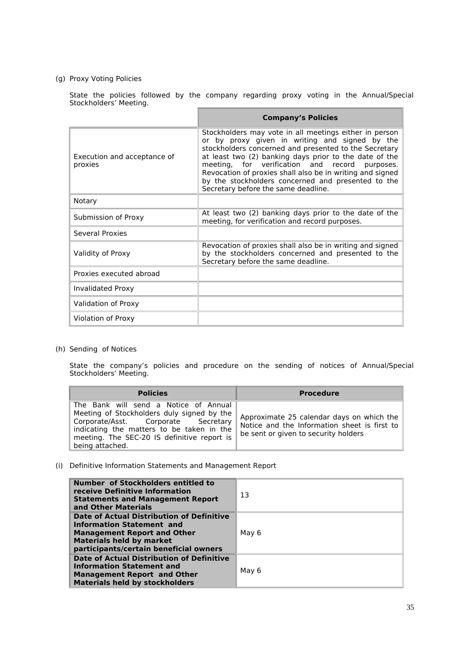# (g) Proxy Voting Policies

State the policies followed by the company regarding proxy voting in the Annual/Special Stockholders' Meeting.

|                                        | <b>Company's Policies</b>                                                                                                                                                                                                                                                                                                                                                                                                               |
|----------------------------------------|-----------------------------------------------------------------------------------------------------------------------------------------------------------------------------------------------------------------------------------------------------------------------------------------------------------------------------------------------------------------------------------------------------------------------------------------|
| Execution and acceptance of<br>proxies | Stockholders may vote in all meetings either in person<br>or by proxy given in writing and signed by the<br>stockholders concerned and presented to the Secretary<br>at least two (2) banking days prior to the date of the<br>meeting, for verification and record purposes.<br>Revocation of proxies shall also be in writing and signed<br>by the stockholders concerned and presented to the<br>Secretary before the same deadline. |
| Notary                                 |                                                                                                                                                                                                                                                                                                                                                                                                                                         |
| Submission of Proxy                    | At least two (2) banking days prior to the date of the<br>meeting, for verification and record purposes.                                                                                                                                                                                                                                                                                                                                |
| Several Proxies                        |                                                                                                                                                                                                                                                                                                                                                                                                                                         |
| Validity of Proxy                      | Revocation of proxies shall also be in writing and signed<br>by the stockholders concerned and presented to the<br>Secretary before the same deadline.                                                                                                                                                                                                                                                                                  |
| Proxies executed abroad                |                                                                                                                                                                                                                                                                                                                                                                                                                                         |
| <b>Invalidated Proxy</b>               |                                                                                                                                                                                                                                                                                                                                                                                                                                         |
| Validation of Proxy                    |                                                                                                                                                                                                                                                                                                                                                                                                                                         |
| Violation of Proxy                     |                                                                                                                                                                                                                                                                                                                                                                                                                                         |

(h) Sending of Notices

State the company's policies and procedure on the sending of notices of Annual/Special Stockholders' Meeting.

| <b>Policies</b>                                                                                                                                                                                                                           | <b>Procedure</b>                                                                                                                  |
|-------------------------------------------------------------------------------------------------------------------------------------------------------------------------------------------------------------------------------------------|-----------------------------------------------------------------------------------------------------------------------------------|
| The Bank will send a Notice of Annual<br>Meeting of Stockholders duly signed by the<br>Corporate/Asst. Corporate Secretary<br>indicating the matters to be taken in the<br>meeting. The SEC-20 IS definitive report is<br>being attached. | Approximate 25 calendar days on which the<br>Notice and the Information sheet is first to<br>be sent or given to security holders |

(i) Definitive Information Statements and Management Report

| Number of Stockholders entitled to<br>receive Definitive Information<br><b>Statements and Management Report</b><br>and Other Materials                                                           | 13    |
|--------------------------------------------------------------------------------------------------------------------------------------------------------------------------------------------------|-------|
| <b>Date of Actual Distribution of Definitive</b><br>Information Statement and<br><b>Management Report and Other</b><br><b>Materials held by market</b><br>participants/certain beneficial owners | May 6 |
| Date of Actual Distribution of Definitive<br><b>Information Statement and</b><br><b>Management Report and Other</b><br><b>Materials held by stockholders</b>                                     | May 6 |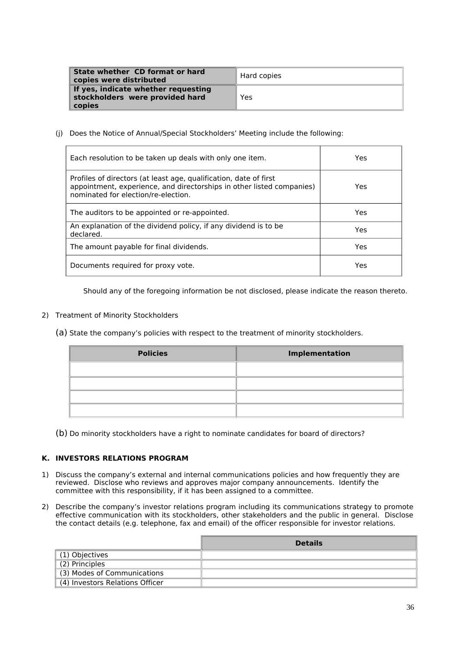| State whether CD format or hard<br>copies were distributed                       | Hard copies |
|----------------------------------------------------------------------------------|-------------|
| If yes, indicate whether requesting<br>stockholders were provided hard<br>copies | Yes         |

(j) Does the Notice of Annual/Special Stockholders' Meeting include the following:

| Each resolution to be taken up deals with only one item.                                                                                                                          | Yes |
|-----------------------------------------------------------------------------------------------------------------------------------------------------------------------------------|-----|
| Profiles of directors (at least age, qualification, date of first<br>appointment, experience, and directorships in other listed companies)<br>nominated for election/re-election. | Yes |
| The auditors to be appointed or re-appointed.                                                                                                                                     | Yes |
| An explanation of the dividend policy, if any dividend is to be<br>declared.                                                                                                      | Yes |
| The amount payable for final dividends.                                                                                                                                           | Yes |
| Documents required for proxy vote.                                                                                                                                                | Yes |

Should any of the foregoing information be not disclosed, please indicate the reason thereto.

- 2) Treatment of Minority Stockholders
	- (a) State the company's policies with respect to the treatment of minority stockholders.

| <b>Policies</b> | Implementation |
|-----------------|----------------|
|                 |                |
|                 |                |
|                 |                |
|                 |                |

(b) Do minority stockholders have a right to nominate candidates for board of directors?

## **K. INVESTORS RELATIONS PROGRAM**

- 1) Discuss the company's external and internal communications policies and how frequently they are reviewed. Disclose who reviews and approves major company announcements. Identify the committee with this responsibility, if it has been assigned to a committee.
- 2) Describe the company's investor relations program including its communications strategy to promote effective communication with its stockholders, other stakeholders and the public in general. Disclose the contact details (e.g. telephone, fax and email) of the officer responsible for investor relations.

|                                 | <b>Details</b> |
|---------------------------------|----------------|
| (1) Objectives                  |                |
| (2) Principles                  |                |
| (3) Modes of Communications     |                |
| (4) Investors Relations Officer |                |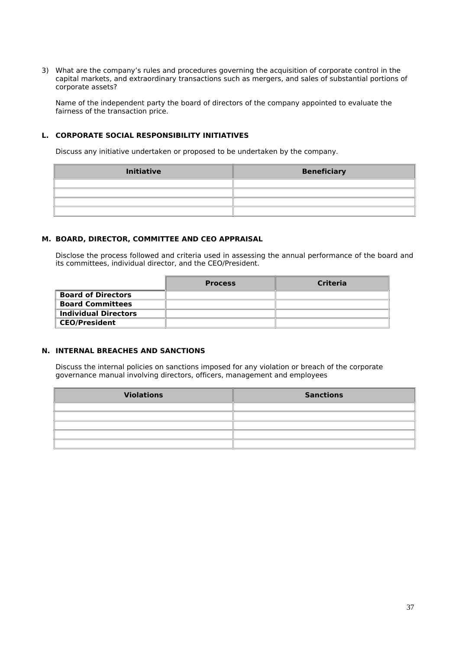3) What are the company's rules and procedures governing the acquisition of corporate control in the capital markets, and extraordinary transactions such as mergers, and sales of substantial portions of corporate assets?

Name of the independent party the board of directors of the company appointed to evaluate the fairness of the transaction price.

## **L. CORPORATE SOCIAL RESPONSIBILITY INITIATIVES**

Discuss any initiative undertaken or proposed to be undertaken by the company.

| <b>Initiative</b> | <b>Beneficiary</b> |
|-------------------|--------------------|
|                   |                    |
|                   |                    |
|                   |                    |
|                   |                    |

#### **M. BOARD, DIRECTOR, COMMITTEE AND CEO APPRAISAL**

Disclose the process followed and criteria used in assessing the annual performance of the board and its committees, individual director, and the CEO/President.

|                             | <b>Process</b> | Criteria |
|-----------------------------|----------------|----------|
| <b>Board of Directors</b>   |                |          |
| <b>Board Committees</b>     |                |          |
| <b>Individual Directors</b> |                |          |
| <b>CEO/President</b>        |                |          |

# **N. INTERNAL BREACHES AND SANCTIONS**

Discuss the internal policies on sanctions imposed for any violation or breach of the corporate governance manual involving directors, officers, management and employees

| <b>Violations</b> | <b>Sanctions</b> |
|-------------------|------------------|
|                   |                  |
|                   |                  |
|                   |                  |
|                   |                  |
|                   |                  |